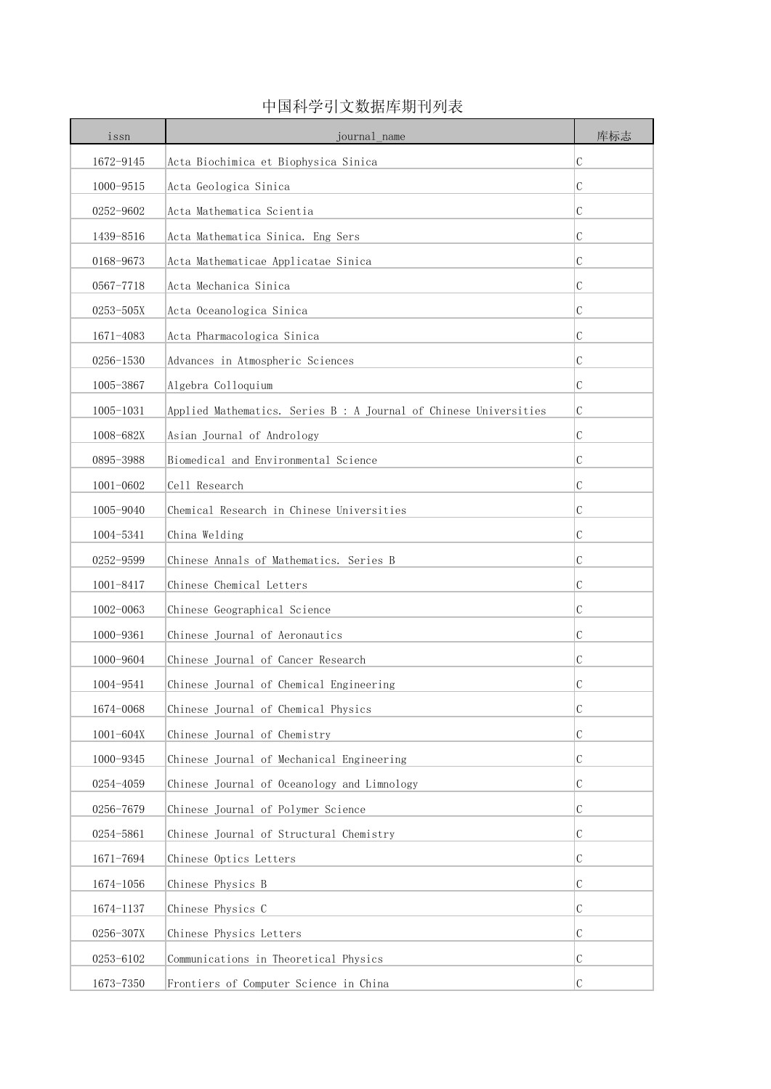| issn          | journal name                                                      | 库标志 |
|---------------|-------------------------------------------------------------------|-----|
| 1672-9145     | Acta Biochimica et Biophysica Sinica                              | С   |
| 1000-9515     | Acta Geologica Sinica                                             | С   |
| 0252-9602     | Acta Mathematica Scientia                                         | C   |
| 1439-8516     | Acta Mathematica Sinica. Eng Sers                                 | С   |
| 0168-9673     | Acta Mathematicae Applicatae Sinica                               | С   |
| $0567 - 7718$ | Acta Mechanica Sinica                                             | С   |
| 0253-505X     | Acta Oceanologica Sinica                                          | С   |
| 1671-4083     | Acta Pharmacologica Sinica                                        | С   |
| 0256-1530     | Advances in Atmospheric Sciences                                  | С   |
| 1005-3867     | Algebra Colloquium                                                | C   |
| $1005 - 1031$ | Applied Mathematics. Series B : A Journal of Chinese Universities | C   |
| 1008-682X     | Asian Journal of Andrology                                        | С   |
| 0895-3988     | Biomedical and Environmental Science                              | С   |
| $1001 - 0602$ | Cell Research                                                     | С   |
| 1005-9040     | Chemical Research in Chinese Universities                         | C   |
| 1004-5341     | China Welding                                                     | С   |
| 0252-9599     | Chinese Annals of Mathematics. Series B                           | С   |
| $1001 - 8417$ | Chinese Chemical Letters                                          | C   |
| 1002-0063     | Chinese Geographical Science                                      | С   |
| 1000-9361     | Chinese Journal of Aeronautics                                    | С   |
| 1000-9604     | Chinese Journal of Cancer Research                                | С   |
| 1004-9541     | Chinese Journal of Chemical Engineering                           | С   |
| 1674-0068     | Chinese Journal of Chemical Physics                               | C   |
| 1001-604X     | Chinese Journal of Chemistry                                      | С   |
| 1000-9345     | Chinese Journal of Mechanical Engineering                         | C   |
| 0254-4059     | Chinese Journal of Oceanology and Limnology                       | C   |
| 0256-7679     | Chinese Journal of Polymer Science                                | C   |
| 0254-5861     | Chinese Journal of Structural Chemistry                           | С   |
| 1671-7694     | Chinese Optics Letters                                            | С   |
| 1674-1056     | Chinese Physics B                                                 | С   |
| 1674-1137     | Chinese Physics C                                                 | С   |
| 0256-307X     | Chinese Physics Letters                                           | C   |
| 0253-6102     | Communications in Theoretical Physics                             | C   |
| 1673-7350     | Frontiers of Computer Science in China                            | С   |

## 中国科学引文数据库期刊列表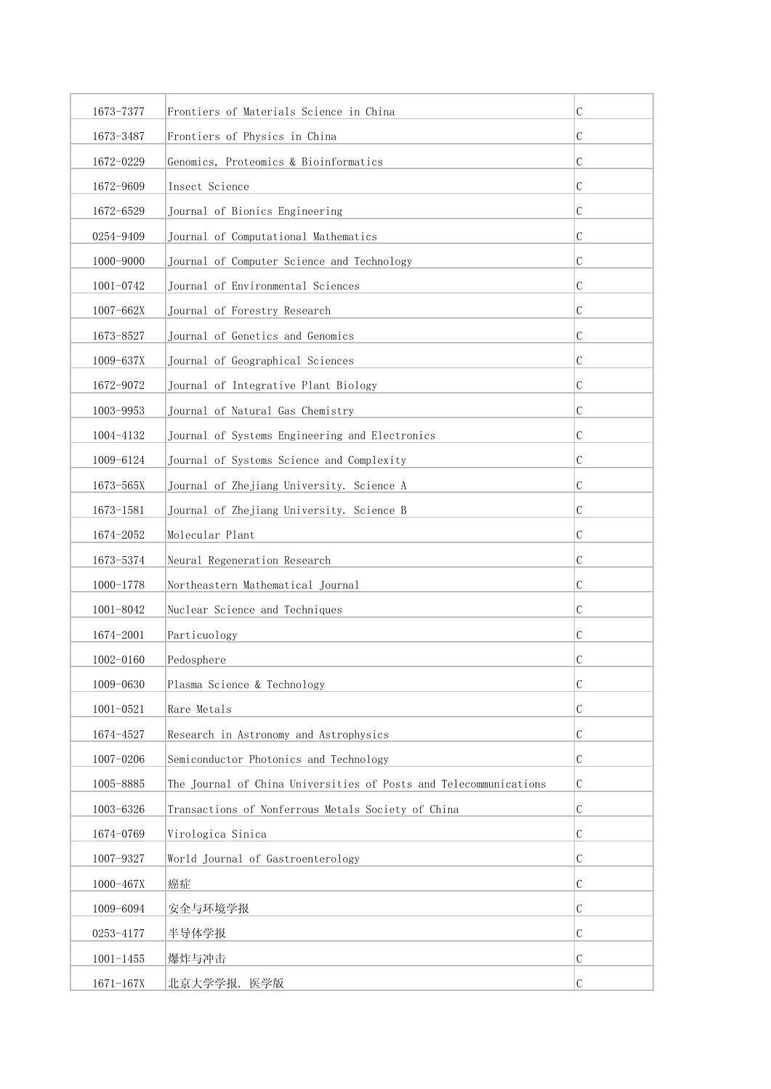| 1673-7377     | Frontiers of Materials Science in China                           | C |
|---------------|-------------------------------------------------------------------|---|
| 1673-3487     | Frontiers of Physics in China                                     | C |
| 1672-0229     | Genomics, Proteomics & Bioinformatics                             | C |
| 1672-9609     | Insect Science                                                    | С |
| 1672-6529     | Journal of Bionics Engineering                                    | C |
| 0254-9409     | Journal of Computational Mathematics                              | C |
| 1000-9000     | Journal of Computer Science and Technology                        | C |
| 1001-0742     | Journal of Environmental Sciences                                 | C |
| $1007 - 662X$ | Journal of Forestry Research                                      | C |
| 1673-8527     | Journal of Genetics and Genomics                                  | C |
| 1009-637X     | Journal of Geographical Sciences                                  | C |
| 1672-9072     | Journal of Integrative Plant Biology                              | C |
| 1003-9953     | Journal of Natural Gas Chemistry                                  | C |
| 1004-4132     | Journal of Systems Engineering and Electronics                    | C |
| 1009-6124     | Journal of Systems Science and Complexity                         | C |
| 1673-565X     | Journal of Zhejiang University. Science A                         | C |
| 1673-1581     | Journal of Zhejiang University. Science B                         | С |
| 1674-2052     | Molecular Plant                                                   | C |
| 1673-5374     | Neural Regeneration Research                                      | C |
| 1000-1778     | Northeastern Mathematical Journal                                 | С |
| 1001-8042     | Nuclear Science and Techniques                                    | C |
| 1674-2001     | Particuology                                                      | С |
| 1002-0160     | Pedosphere                                                        | C |
| 1009-0630     | Plasma Science & Technology                                       | С |
| $1001 - 0521$ | Rare Metals                                                       | C |
| 1674-4527     | Research in Astronomy and Astrophysics                            | C |
| 1007-0206     | Semiconductor Photonics and Technology                            | C |
| 1005-8885     | The Journal of China Universities of Posts and Telecommunications | C |
| 1003-6326     | Transactions of Nonferrous Metals Society of China                | C |
| 1674-0769     | Virologica Sinica                                                 | C |
| 1007-9327     | World Journal of Gastroenterology                                 | C |
| 1000-467X     | 癌症                                                                | C |
| 1009-6094     | 安全与环境学报                                                           | C |
| 0253-4177     | 半导体学报                                                             | C |
| $1001 - 1455$ | 爆炸与冲击                                                             | C |
| $1671 - 167X$ | 北京大学学报. 医学版                                                       | C |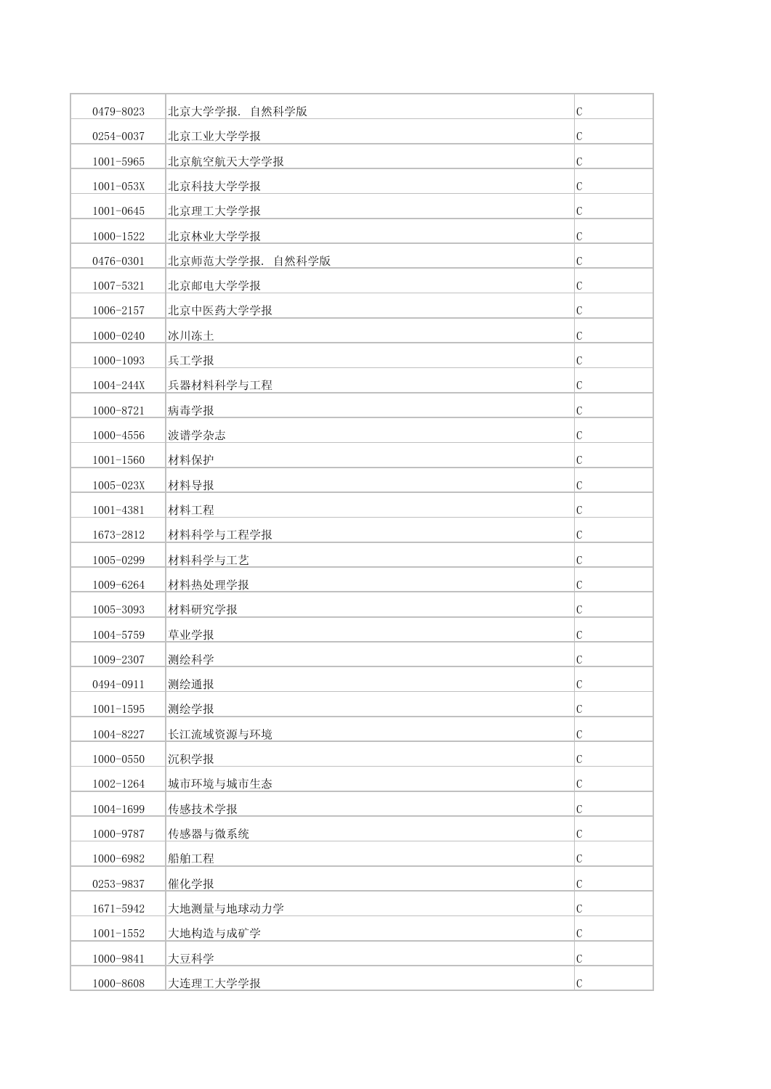| 0479-8023     | 北京大学学报. 自然科学版   | $\mathcal{C}$ |
|---------------|-----------------|---------------|
| 0254-0037     | 北京工业大学学报        | $\mathcal{C}$ |
| $1001 - 5965$ | 北京航空航天大学学报      | $\mathcal{C}$ |
| $1001 - 053X$ | 北京科技大学学报        | $\mathcal C$  |
| $1001 - 0645$ | 北京理工大学学报        | $\mathcal{C}$ |
| 1000-1522     | 北京林业大学学报        | $\mathcal{C}$ |
| 0476-0301     | 北京师范大学学报. 自然科学版 | $\mathcal{C}$ |
| 1007-5321     | 北京邮电大学学报        | $\mathcal{C}$ |
| 1006-2157     | 北京中医药大学学报       | $\mathcal{C}$ |
| 1000-0240     | 冰川冻土            | $\mathcal{C}$ |
| $1000 - 1093$ | 兵工学报            | $\mathcal{C}$ |
| 1004-244X     | 兵器材料科学与工程       | C             |
| 1000-8721     | 病毒学报            | $\mathcal{C}$ |
| 1000-4556     | 波谱学杂志           | $\mathcal{C}$ |
| $1001 - 1560$ | 材料保护            | $\mathcal{C}$ |
| 1005-023X     | 材料导报            | $\mathcal{C}$ |
| 1001-4381     | 材料工程            | C             |
| 1673-2812     | 材料科学与工程学报       | $\mathcal{C}$ |
| 1005-0299     | 材料科学与工艺         | $\mathcal{C}$ |
| 1009-6264     | 材料热处理学报         | $\mathcal{C}$ |
| 1005-3093     | 材料研究学报          | $\mathcal{C}$ |
| 1004-5759     | 草业学报            | C             |
| 1009-2307     | 测绘科学            | $\mathcal{C}$ |
| 0494-0911     | 测绘通报            | $\mathcal{C}$ |
| $1001 - 1595$ | 测绘学报            | $\mathcal{C}$ |
| 1004-8227     | 长江流域资源与环境       | $\mathcal{C}$ |
| $1000 - 0550$ | 沉积学报            | $\mathcal C$  |
| 1002-1264     | 城市环境与城市生态       | $\mathcal C$  |
| 1004-1699     | 传感技术学报          | $\mathcal{C}$ |
| 1000-9787     | 传感器与微系统         | $\mathcal{C}$ |
| 1000-6982     | 船舶工程            | $\mathcal C$  |
| 0253-9837     | 催化学报            | $\mathcal{C}$ |
| 1671-5942     | 大地测量与地球动力学      | $\mathcal C$  |
| $1001 - 1552$ | 大地构造与成矿学        | $\mathcal{C}$ |
| 1000-9841     | 大豆科学            | $\mathcal{C}$ |
| 1000-8608     | 大连理工大学学报        | $\mathcal C$  |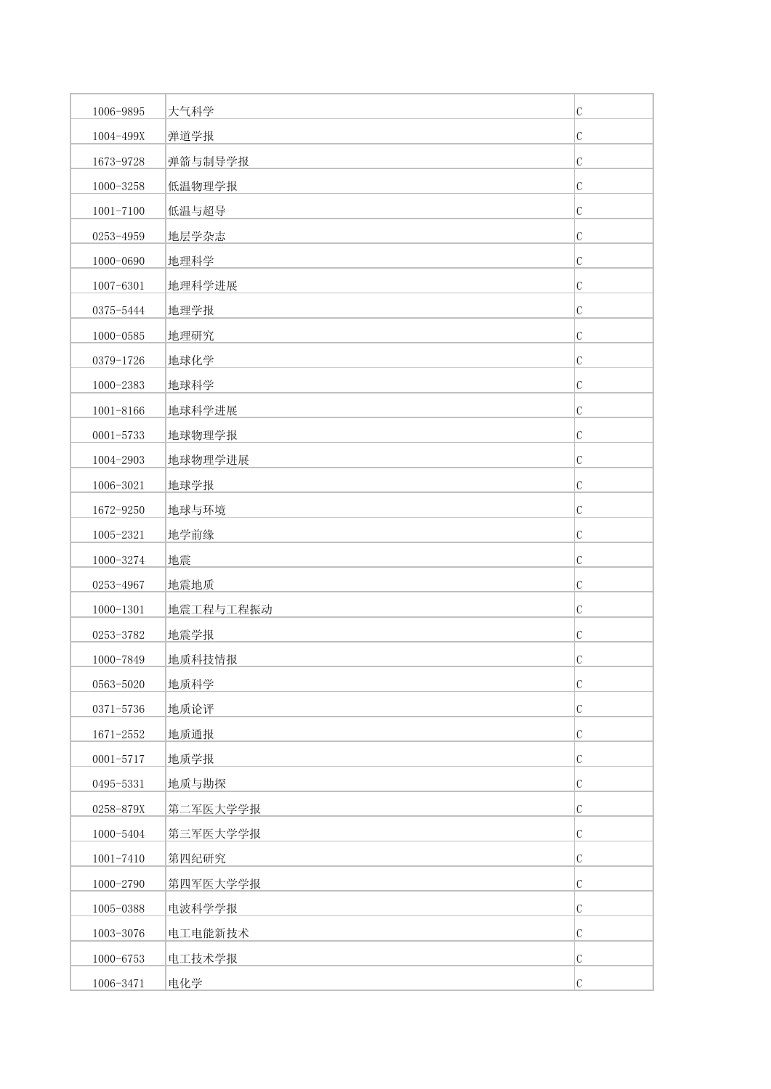| 1006-9895     | 大气科学      | $\mathcal{C}$ |
|---------------|-----------|---------------|
| 1004-499X     | 弹道学报      | $\mathcal{C}$ |
| 1673-9728     | 弹箭与制导学报   | $\mathcal{C}$ |
| 1000-3258     | 低温物理学报    | $\mathcal C$  |
| $1001 - 7100$ | 低温与超导     | $\mathcal{C}$ |
| 0253-4959     | 地层学杂志     | $\mathcal{C}$ |
| 1000-0690     | 地理科学      | $\mathcal{C}$ |
| 1007-6301     | 地理科学进展    | $\mathcal{C}$ |
| 0375-5444     | 地理学报      | $\mathcal{C}$ |
| 1000-0585     | 地理研究      | $\mathcal{C}$ |
| 0379-1726     | 地球化学      | $\mathcal{C}$ |
| 1000-2383     | 地球科学      | $\mathcal{C}$ |
| 1001-8166     | 地球科学进展    | $\mathcal{C}$ |
| $0001 - 5733$ | 地球物理学报    | $\mathcal{C}$ |
| 1004-2903     | 地球物理学进展   | $\mathcal{C}$ |
| 1006-3021     | 地球学报      | $\mathcal{C}$ |
| 1672-9250     | 地球与环境     | C             |
| 1005-2321     | 地学前缘      | $\mathcal{C}$ |
| 1000-3274     | 地震        | $\mathcal{C}$ |
| 0253-4967     | 地震地质      | $\mathcal{C}$ |
| $1000 - 1301$ | 地震工程与工程振动 | $\mathcal{C}$ |
| 0253-3782     | 地震学报      | C             |
| 1000-7849     | 地质科技情报    | $\mathcal{C}$ |
| 0563-5020     | 地质科学      | $\mathcal{C}$ |
| 0371-5736     | 地质论评      | $\mathcal{C}$ |
| 1671-2552     | 地质通报      | $\mathcal{C}$ |
| 0001-5717     | 地质学报      | $\mathcal{C}$ |
| 0495-5331     | 地质与勘探     | $\mathcal{C}$ |
| 0258-879X     | 第二军医大学学报  | $\mathcal{C}$ |
| 1000-5404     | 第三军医大学学报  | $\mathcal{C}$ |
| $1001 - 7410$ | 第四纪研究     | $\mathcal{C}$ |
| 1000-2790     | 第四军医大学学报  | $\mathcal{C}$ |
| 1005-0388     | 电波科学学报    | $\mathcal C$  |
| 1003-3076     | 电工电能新技术   | $\mathcal{C}$ |
| 1000-6753     | 电工技术学报    | $\mathcal{C}$ |
| 1006-3471     | 电化学       | $\mathcal{C}$ |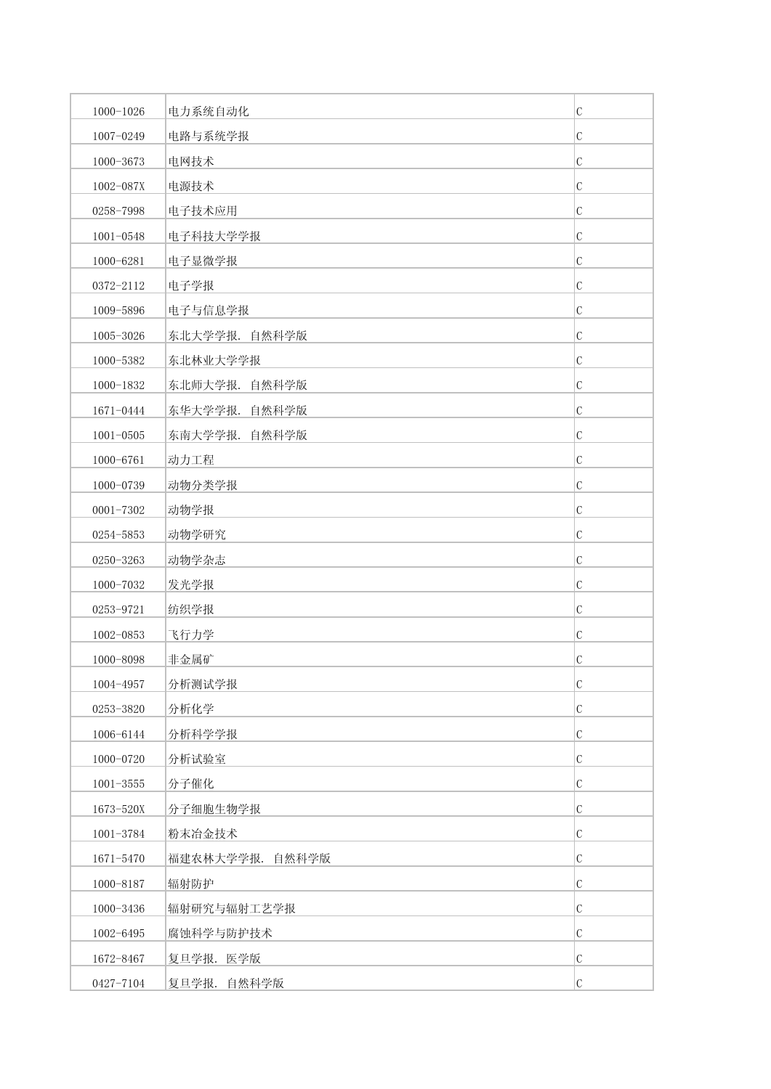| 1000-1026     | 电力系统自动化         | $\mathcal{C}$ |
|---------------|-----------------|---------------|
| 1007-0249     | 电路与系统学报         | $\mathcal{C}$ |
| 1000-3673     | 电网技术            | $\mathcal{C}$ |
| 1002-087X     | 电源技术            | $\mathcal{C}$ |
| 0258-7998     | 电子技术应用          | $\mathcal{C}$ |
| $1001 - 0548$ | 电子科技大学学报        | $\mathcal{C}$ |
| 1000-6281     | 电子显微学报          | C             |
| 0372-2112     | 电子学报            | $\mathcal{C}$ |
| 1009-5896     | 电子与信息学报         | $\mathcal{C}$ |
| 1005-3026     | 东北大学学报. 自然科学版   | $\mathcal{C}$ |
| 1000-5382     | 东北林业大学学报        | $\mathcal{C}$ |
| 1000-1832     | 东北师大学报. 自然科学版   | C             |
| 1671-0444     | 东华大学学报. 自然科学版   | $\mathcal{C}$ |
| $1001 - 0505$ | 东南大学学报. 自然科学版   | $\mathcal{C}$ |
| 1000-6761     | 动力工程            | $\mathcal{C}$ |
| 1000-0739     | 动物分类学报          | $\mathcal{C}$ |
| $0001 - 7302$ | 动物学报            | C             |
| 0254-5853     | 动物学研究           | $\mathcal{C}$ |
| 0250-3263     | 动物学杂志           | $\mathcal{C}$ |
| 1000-7032     | 发光学报            | $\mathcal{C}$ |
| 0253-9721     | 纺织学报            | $\mathcal{C}$ |
| 1002-0853     | 飞行力学            | C             |
| 1000-8098     | 非金属矿            | $\mathcal{C}$ |
| 1004-4957     | 分析测试学报          | $\mathcal{C}$ |
| 0253-3820     | 分析化学            | $\mathcal{C}$ |
| 1006-6144     | 分析科学学报          | $\mathcal{C}$ |
| 1000-0720     | 分析试验室           | $\mathcal C$  |
| $1001 - 3555$ | 分子催化            | $\mathcal C$  |
| 1673-520X     | 分子细胞生物学报        | $\mathcal{C}$ |
| 1001-3784     | 粉末冶金技术          | $\mathcal{C}$ |
| 1671-5470     | 福建农林大学学报. 自然科学版 | C             |
| 1000-8187     | 辐射防护            | $\mathcal C$  |
| 1000-3436     | 辐射研究与辐射工艺学报     | C             |
| 1002-6495     | 腐蚀科学与防护技术       | $\mathcal{C}$ |
| 1672-8467     | 复旦学报. 医学版       | $\mathcal{C}$ |
| 0427-7104     | 复旦学报. 自然科学版     | $\mathcal{C}$ |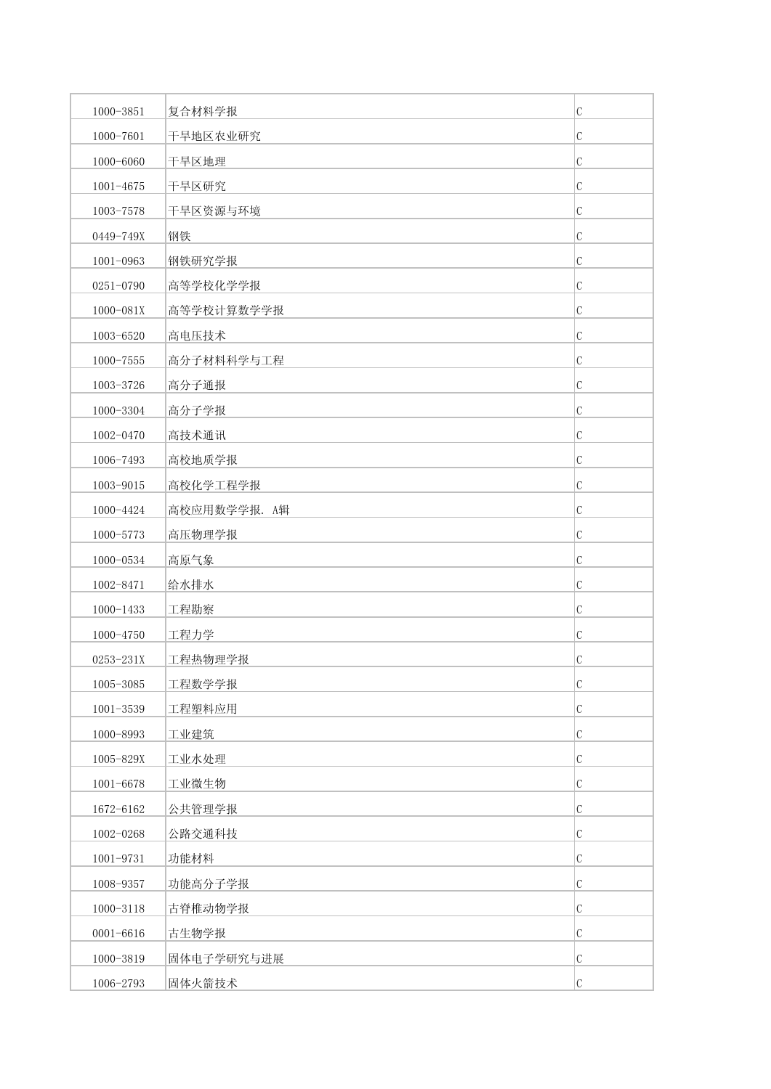| 1000-3851     | 复合材料学报       | $\mathsf C$   |
|---------------|--------------|---------------|
| 1000-7601     | 干旱地区农业研究     | C             |
| 1000-6060     | 干旱区地理        | $\mathbf C$   |
| $1001 - 4675$ | 干旱区研究        | C             |
| 1003-7578     | 干旱区资源与环境     | $\mathbf C$   |
| 0449-749X     | 钢铁           | $\mathcal{C}$ |
| $1001 - 0963$ | 钢铁研究学报       | C             |
| 0251-0790     | 高等学校化学学报     | $\mathcal{C}$ |
| 1000-081X     | 高等学校计算数学学报   | $\mathbf C$   |
| 1003-6520     | 高电压技术        | $\mathbf C$   |
| $1000 - 7555$ | 高分子材料科学与工程   | C             |
| 1003-3726     | 高分子通报        | $\mathbf C$   |
| 1000-3304     | 高分子学报        | $\mathcal{C}$ |
| 1002-0470     | 高技术通讯        | $\mathbf C$   |
| 1006-7493     | 高校地质学报       | $\mathbf C$   |
| 1003-9015     | 高校化学工程学报     | $\mathbf C$   |
| 1000-4424     | 高校应用数学学报. A辑 | $\mathcal{C}$ |
| 1000-5773     | 高压物理学报       | $\mathbf C$   |
| 1000-0534     | 高原气象         | $\mathbf C$   |
| 1002-8471     | 给水排水         | C             |
| $1000 - 1433$ | 工程勘察         | $\mathcal{C}$ |
| 1000-4750     | 工程力学         | C             |
| 0253-231X     | 工程热物理学报      | $\mathbf C$   |
| 1005-3085     | 工程数学学报       | $\cal C$      |
| 1001-3539     | 工程塑料应用       | $\mathbf C$   |
| 1000-8993     | 工业建筑         | $\mathbf C$   |
| 1005-829X     | 工业水处理        | $\mathbf C$   |
| 1001-6678     | 工业微生物        | $\mathbf C$   |
| 1672-6162     | 公共管理学报       | $\mathbf C$   |
| 1002-0268     | 公路交通科技       | $\mathbf C$   |
| 1001-9731     | 功能材料         | $\mathbf C$   |
| 1008-9357     | 功能高分子学报      | $\mathbf C$   |
| 1000-3118     | 古脊椎动物学报      | $\mathbf C$   |
| $0001 - 6616$ | 古生物学报        | $\mathbf C$   |
| 1000-3819     | 固体电子学研究与进展   | $\mathbf C$   |
| 1006-2793     | 固体火箭技术       | $\mathcal{C}$ |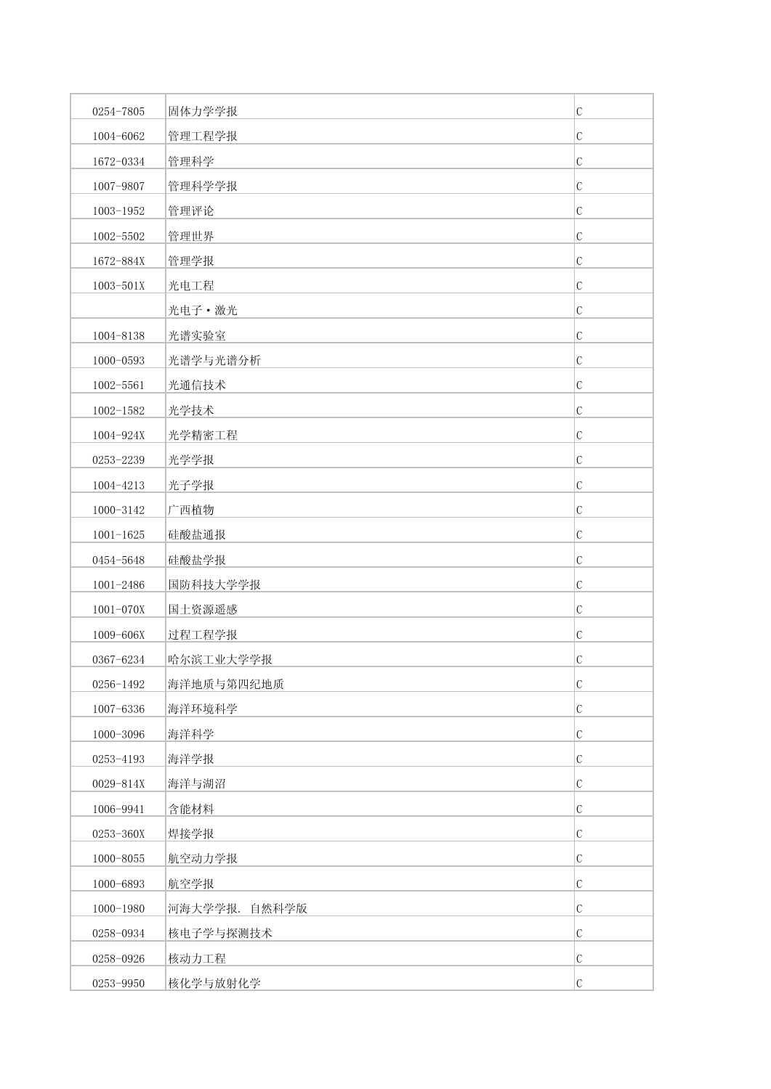| 0254-7805     | 固体力学学报        | $\mathcal{C}$ |
|---------------|---------------|---------------|
| 1004-6062     | 管理工程学报        | $\mathcal{C}$ |
| 1672-0334     | 管理科学          | $\mathcal C$  |
| 1007-9807     | 管理科学学报        | $\mathcal C$  |
| 1003-1952     | 管理评论          | $\mathcal{C}$ |
| 1002-5502     | 管理世界          | $\mathcal{C}$ |
| 1672-884X     | 管理学报          | $\mathcal{C}$ |
| 1003-501X     | 光电工程          | $\mathcal{C}$ |
|               | 光电子·激光        | $\mathcal C$  |
| 1004-8138     | 光谱实验室         | $\mathcal{C}$ |
| 1000-0593     | 光谱学与光谱分析      | $\mathcal{C}$ |
| 1002-5561     | 光通信技术         | $\mathcal{C}$ |
| $1002 - 1582$ | 光学技术          | $\mathcal{C}$ |
| 1004-924X     | 光学精密工程        | $\mathcal{C}$ |
| 0253-2239     | 光学学报          | $\mathcal{C}$ |
| 1004-4213     | 光子学报          | $\mathcal{C}$ |
| 1000-3142     | 广西植物          | $\mathcal{C}$ |
| $1001 - 1625$ | 硅酸盐通报         | $\mathcal{C}$ |
| 0454-5648     | 硅酸盐学报         | $\mathcal{C}$ |
| 1001-2486     | 国防科技大学学报      | $\mathcal{C}$ |
| 1001-070X     | 国土资源遥感        | $\mathcal{C}$ |
| 1009-606X     | 过程工程学报        | $\mathcal{C}$ |
| 0367-6234     | 哈尔滨工业大学学报     | $\mathcal{C}$ |
| 0256-1492     | 海洋地质与第四纪地质    | $\mathcal{C}$ |
| 1007-6336     | 海洋环境科学        | $\mathcal{C}$ |
| 1000-3096     | 海洋科学          | $\mathcal{C}$ |
| 0253-4193     | 海洋学报          | $\mathcal{C}$ |
| 0029-814X     | 海洋与湖沼         | $\mathcal{C}$ |
| 1006-9941     | 含能材料          | $\mathcal{C}$ |
| 0253-360X     | 焊接学报          | $\mathcal{C}$ |
| $1000 - 8055$ | 航空动力学报        | C             |
| 1000-6893     | 航空学报          | $\mathcal{C}$ |
| $1000 - 1980$ | 河海大学学报. 自然科学版 | $\mathcal C$  |
| 0258-0934     | 核电子学与探测技术     | $\mathcal{C}$ |
| 0258-0926     | 核动力工程         | $\mathcal{C}$ |
| 0253-9950     | 核化学与放射化学      | $\mathcal{C}$ |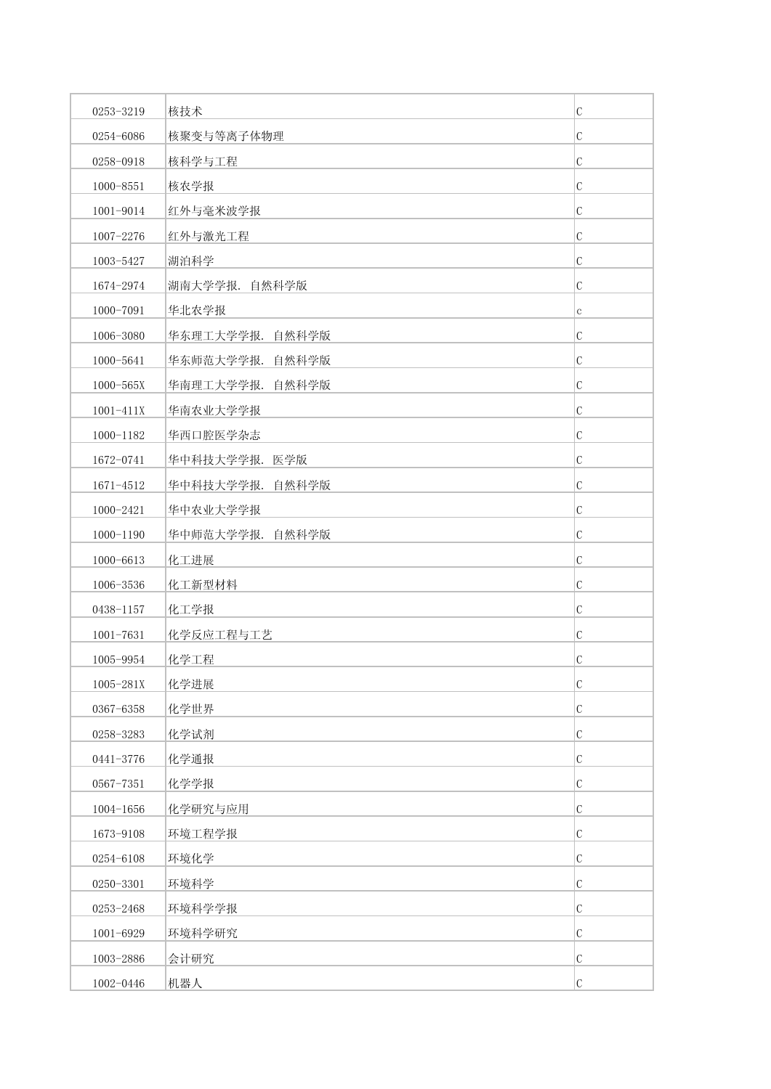| 0253-3219     | 核技术             | $\mathbf C$   |
|---------------|-----------------|---------------|
| 0254-6086     | 核聚变与等离子体物理      | $\mathcal{C}$ |
| 0258-0918     | 核科学与工程          | $\mathbf C$   |
| 1000-8551     | 核农学报            | $\mathbf C$   |
| 1001-9014     | 红外与毫米波学报        | $\mathbf C$   |
| 1007-2276     | 红外与激光工程         | C             |
| 1003-5427     | 湖泊科学            | C             |
| 1674-2974     | 湖南大学学报. 自然科学版   | $\mathbf C$   |
| 1000-7091     | 华北农学报           | $\mathbf{C}$  |
| 1006-3080     | 华东理工大学学报. 自然科学版 | $\mathbf C$   |
| 1000-5641     | 华东师范大学学报. 自然科学版 | $\mathcal{C}$ |
| 1000-565X     | 华南理工大学学报. 自然科学版 | $\mathcal{C}$ |
| $1001 - 411X$ | 华南农业大学学报        | $\mathcal{C}$ |
| 1000-1182     | 华西口腔医学杂志        | $\mathbf C$   |
| 1672-0741     | 华中科技大学学报. 医学版   | $\mathcal{C}$ |
| 1671-4512     | 华中科技大学学报. 自然科学版 | $\mathbf C$   |
| 1000-2421     | 华中农业大学学报        | $\mathcal{C}$ |
| $1000 - 1190$ | 华中师范大学学报. 自然科学版 | $\mathbf C$   |
| 1000-6613     | 化工进展            | $\mathcal{C}$ |
| 1006-3536     | 化工新型材料          | $\mathcal{C}$ |
| 0438-1157     | 化工学报            | $\mathcal{C}$ |
| $1001 - 7631$ | 化学反应工程与工艺       | C             |
| 1005-9954     | 化学工程            | C             |
| 1005-281X     | 化学进展            | $\cal C$      |
| 0367-6358     | 化学世界            | $\mathsf C$   |
| 0258-3283     | 化学试剂            | $\mathbf C$   |
| 0441-3776     | 化学通报            | $\mathbf C$   |
| 0567-7351     | 化学学报            | $\mathbf C$   |
| 1004-1656     | 化学研究与应用         | $\mathbf C$   |
| 1673-9108     | 环境工程学报          | $\mathbf C$   |
| 0254-6108     | 环境化学            | $\mathbf C$   |
| 0250-3301     | 环境科学            | $\mathcal{C}$ |
| 0253-2468     | 环境科学学报          | $\mathbf C$   |
| 1001-6929     | 环境科学研究          | $\mathbf C$   |
| 1003-2886     | 会计研究            | $\mathbf C$   |
| 1002-0446     | 机器人             | $\mathcal{C}$ |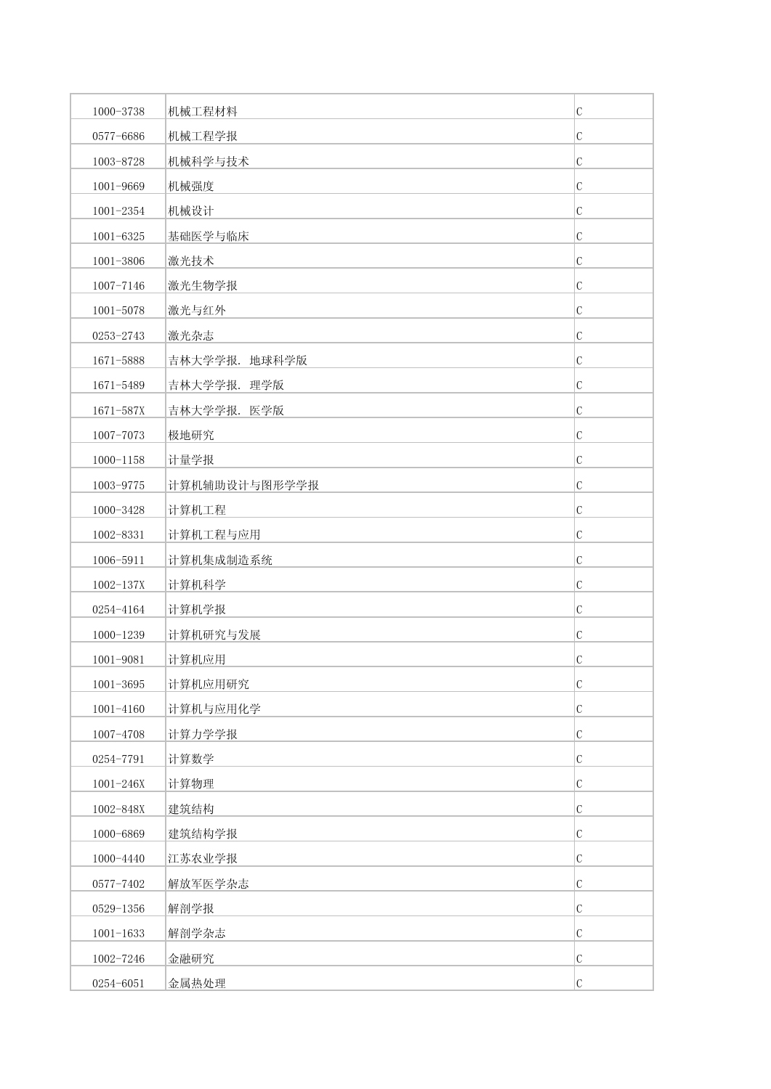| 1000-3738     | 机械工程材料        | $\mathcal{C}$ |
|---------------|---------------|---------------|
| 0577-6686     | 机械工程学报        | $\mathcal{C}$ |
| 1003-8728     | 机械科学与技术       | $\mathcal{C}$ |
| 1001-9669     | 机械强度          | $\mathcal{C}$ |
| 1001-2354     | 机械设计          | $\mathcal{C}$ |
| 1001-6325     | 基础医学与临床       | $\mathcal{C}$ |
| 1001-3806     | 激光技术          | $\mathcal{C}$ |
| 1007-7146     | 激光生物学报        | $\mathcal{C}$ |
| $1001 - 5078$ | 激光与红外         | $\mathcal{C}$ |
| 0253-2743     | 激光杂志          | $\mathcal{C}$ |
| 1671-5888     | 吉林大学学报. 地球科学版 | $\mathcal{C}$ |
| 1671-5489     | 吉林大学学报. 理学版   | C             |
| 1671-587X     | 吉林大学学报. 医学版   | $\mathcal{C}$ |
| 1007-7073     | 极地研究          | $\mathcal{C}$ |
| $1000 - 1158$ | 计量学报          | $\mathcal{C}$ |
| 1003-9775     | 计算机辅助设计与图形学学报 | $\mathcal{C}$ |
| 1000-3428     | 计算机工程         | C             |
| 1002-8331     | 计算机工程与应用      | $\mathcal{C}$ |
| 1006-5911     | 计算机集成制造系统     | $\mathcal{C}$ |
| $1002 - 137X$ | 计算机科学         | $\mathcal{C}$ |
| 0254-4164     | 计算机学报         | $\mathcal{C}$ |
| 1000-1239     | 计算机研究与发展      | C             |
| $1001 - 9081$ | 计算机应用         | $\mathcal{C}$ |
| $1001 - 3695$ | 计算机应用研究       | $\mathcal{C}$ |
| 1001-4160     | 计算机与应用化学      | $\mathcal{C}$ |
| 1007-4708     | 计算力学学报        | $\mathcal{C}$ |
| 0254-7791     | 计算数学          | $\mathcal{C}$ |
| $1001 - 246X$ | 计算物理          | $\mathcal{C}$ |
| 1002-848X     | 建筑结构          | $\mathcal{C}$ |
| 1000-6869     | 建筑结构学报        | $\mathcal{C}$ |
| 1000-4440     | 江苏农业学报        | C             |
| 0577-7402     | 解放军医学杂志       | $\mathcal{C}$ |
| 0529-1356     | 解剖学报          | $\mathcal C$  |
| $1001 - 1633$ | 解剖学杂志         | $\mathcal{C}$ |
| 1002-7246     | 金融研究          | $\mathcal{C}$ |
| 0254-6051     | 金属热处理         | $\mathcal{C}$ |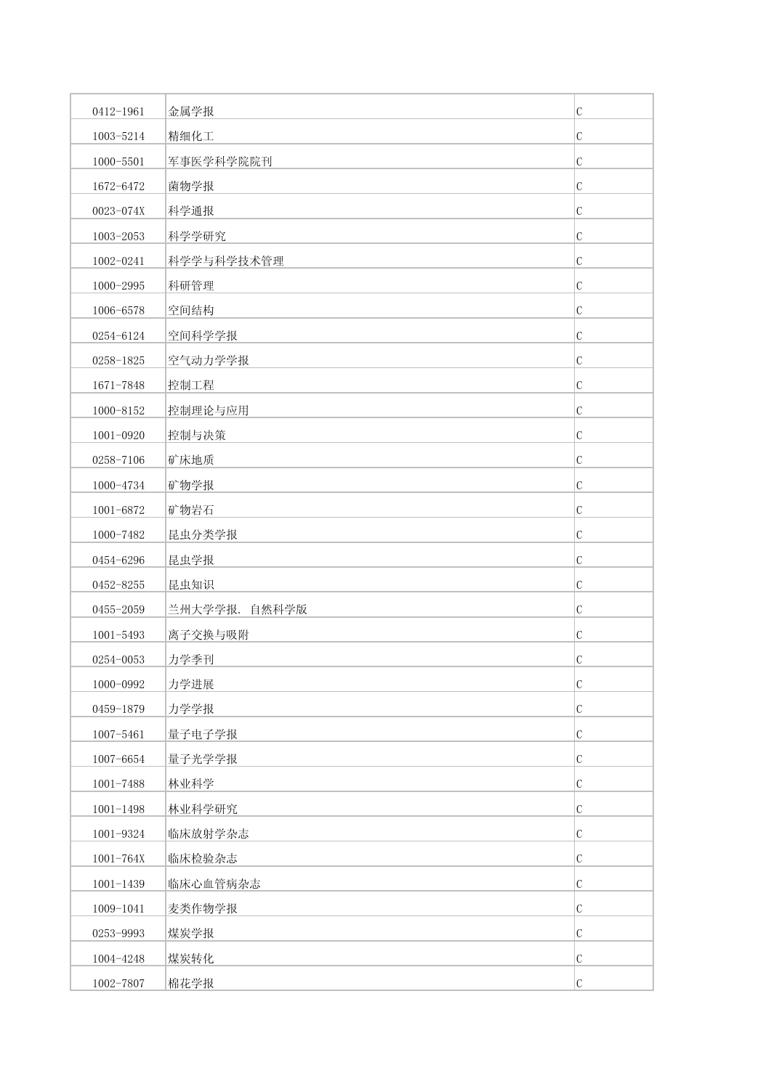| 0412-1961     | 金属学报          | $\mathcal{C}$ |
|---------------|---------------|---------------|
| 1003-5214     | 精细化工          | $\mathcal{C}$ |
| 1000-5501     | 军事医学科学院院刊     | $\mathbf C$   |
| 1672-6472     | 菌物学报          | $\mathbf C$   |
| 0023-074X     | 科学通报          | C             |
| 1003-2053     | 科学学研究         | $\mathcal{C}$ |
| 1002-0241     | 科学学与科学技术管理    | C             |
| 1000-2995     | 科研管理          | $\mathbf C$   |
| 1006-6578     | 空间结构          | $\mathbf C$   |
| 0254-6124     | 空间科学学报        | $\mathbf C$   |
| 0258-1825     | 空气动力学学报       | $\mathcal{C}$ |
| 1671-7848     | 控制工程          | $\mathbf C$   |
| 1000-8152     | 控制理论与应用       | $\mathcal{C}$ |
| 1001-0920     | 控制与决策         | $\mathbf C$   |
| 0258-7106     | 矿床地质          | C             |
| 1000-4734     | 矿物学报          | $\mathbf C$   |
| 1001-6872     | 矿物岩石          | $\mathcal{C}$ |
| 1000-7482     | 昆虫分类学报        | $\mathbf C$   |
| 0454-6296     | 昆虫学报          | $\mathbf C$   |
| 0452-8255     | 昆虫知识          | C             |
| 0455-2059     | 兰州大学学报. 自然科学版 | $\mathcal{C}$ |
| $1001 - 5493$ | 离子交换与吸附       | C             |
| 0254-0053     | 力学季刊          | $\mathbf C$   |
| 1000-0992     | 力学进展          | $\mathsf C$   |
| 0459-1879     | 力学学报          | $\mathbf C$   |
| 1007-5461     | 量子电子学报        | $\mathbf C$   |
| 1007-6654     | 量子光学学报        | $\mathcal{C}$ |
| 1001-7488     | 林业科学          | $\mathcal{C}$ |
| $1001 - 1498$ | 林业科学研究        | $\mathsf C$   |
| 1001-9324     | 临床放射学杂志       | $\mathbf C$   |
| $1001 - 764X$ | 临床检验杂志        | $\mathbf C$   |
| $1001 - 1439$ | 临床心血管病杂志      | $\mathcal{C}$ |
| 1009-1041     | 麦类作物学报        | $\mathbf C$   |
| 0253-9993     | 煤炭学报          | $\mathcal{C}$ |
| 1004-4248     | 煤炭转化          | $\mathbf C$   |
| 1002-7807     | 棉花学报          | $\mathcal{C}$ |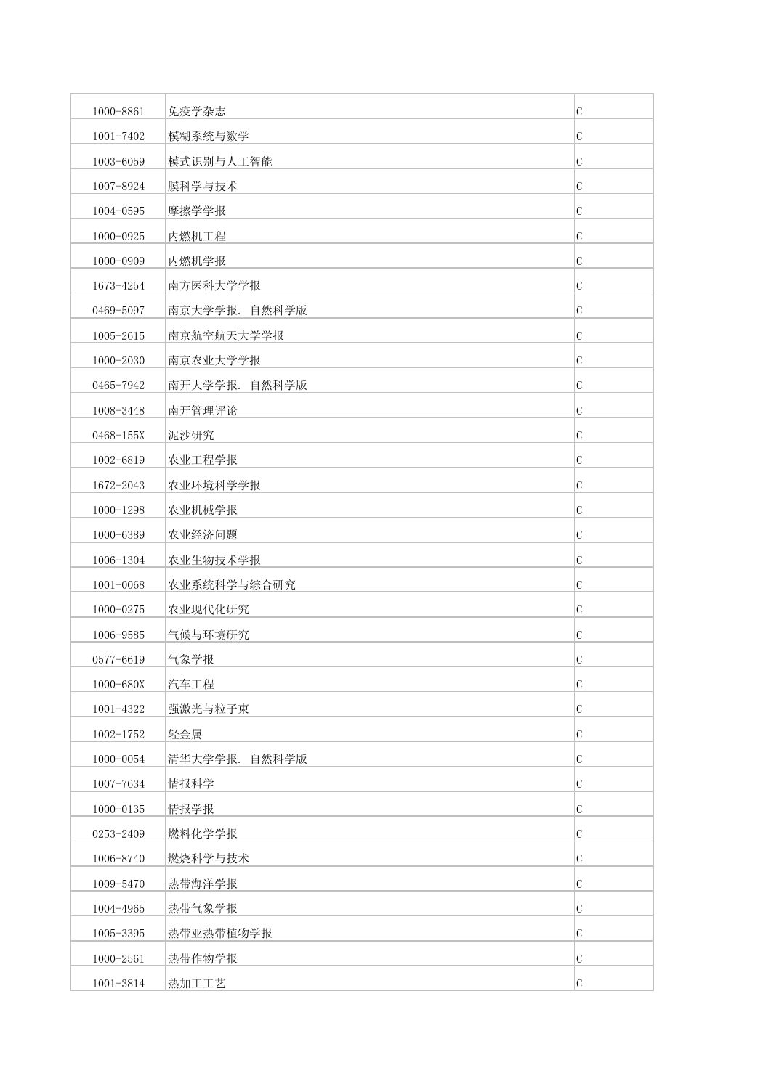| 1000-8861     | 免疫学杂志         | $\mathbf C$   |
|---------------|---------------|---------------|
| 1001-7402     | 模糊系统与数学       | $\mathcal{C}$ |
| 1003-6059     | 模式识别与人工智能     | $\mathbf C$   |
| 1007-8924     | 膜科学与技术        | $\mathbf C$   |
| 1004-0595     | 摩擦学学报         | $\mathbf C$   |
| 1000-0925     | 内燃机工程         | C             |
| 1000-0909     | 内燃机学报         | C             |
| 1673-4254     | 南方医科大学学报      | $\mathbf C$   |
| 0469-5097     | 南京大学学报. 自然科学版 | C             |
| 1005-2615     | 南京航空航天大学学报    | С             |
| 1000-2030     | 南京农业大学学报      | $\mathcal{C}$ |
| 0465-7942     | 南开大学学报. 自然科学版 | $\mathcal{C}$ |
| 1008-3448     | 南开管理评论        | C             |
| 0468-155X     | 泥沙研究          | $\mathbf C$   |
| 1002-6819     | 农业工程学报        | C             |
| 1672-2043     | 农业环境科学学报      | С             |
| 1000-1298     | 农业机械学报        | C             |
| 1000-6389     | 农业经济问题        | $\mathbf C$   |
| 1006-1304     | 农业生物技术学报      | $\mathbf C$   |
| $1001 - 0068$ | 农业系统科学与综合研究   | С             |
| 1000-0275     | 农业现代化研究       | $\mathcal{C}$ |
| 1006-9585     | 气候与环境研究       | C             |
| 0577-6619     | 气象学报          | C             |
| 1000-680X     | 汽车工程          | $\cal C$      |
| 1001-4322     | 强激光与粒子束       | $\mathsf C$   |
| $1002 - 1752$ | 轻金属           | $\mathbf C$   |
| 1000-0054     | 清华大学学报. 自然科学版 | $\mathbf C$   |
| 1007-7634     | 情报科学          | $\mathbf C$   |
| $1000 - 0135$ | 情报学报          | $\mathbf C$   |
| 0253-2409     | 燃料化学学报        | $\mathbf C$   |
| 1006-8740     | 燃烧科学与技术       | $\mathbf C$   |
| 1009-5470     | 热带海洋学报        | $\mathbf C$   |
| 1004-4965     | 热带气象学报        | $\mathbf C$   |
| 1005-3395     | 热带亚热带植物学报     | $\mathbf C$   |
| 1000-2561     | 热带作物学报        | $\mathbf C$   |
| $1001 - 3814$ | 热加工工艺         | $\mathcal{C}$ |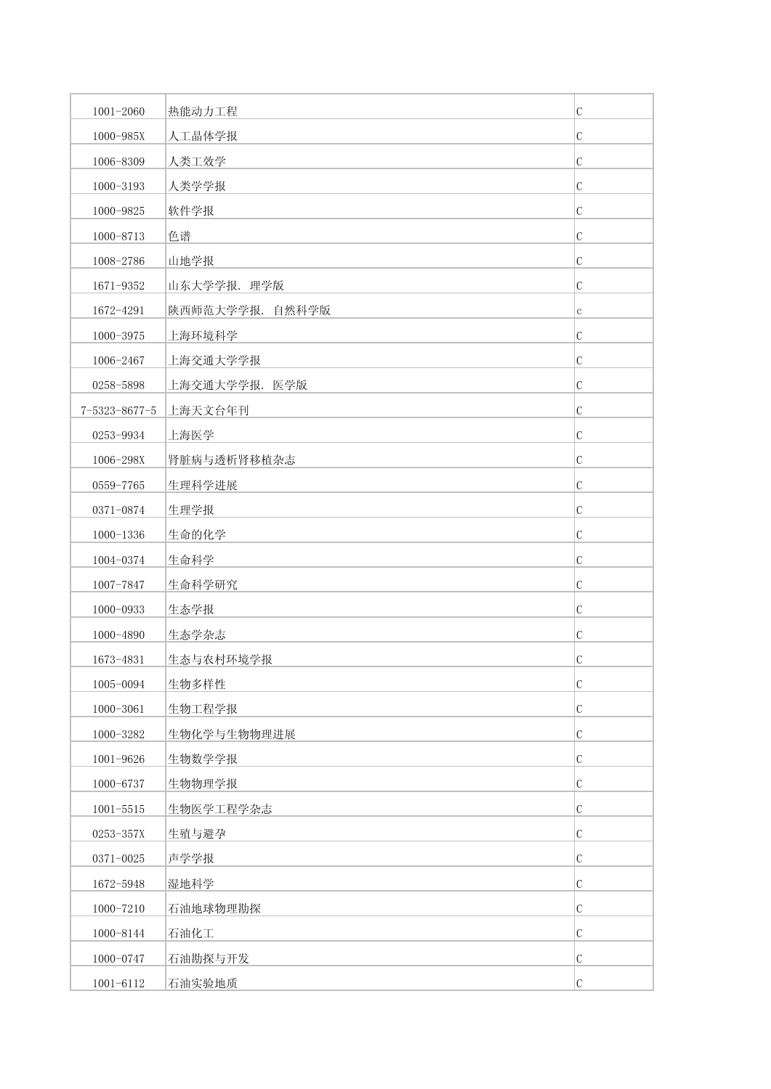| 1001-2060             | 热能动力工程          | $\mathcal{C}$ |
|-----------------------|-----------------|---------------|
| 1000-985X             | 人工晶体学报          | $\mathcal{C}$ |
| 1006-8309             | 人类工效学           | $\mathcal{C}$ |
| 1000-3193             | 人类学学报           | $\mathcal{C}$ |
| 1000-9825             | 软件学报            | $\mathcal{C}$ |
| 1000-8713             | 色谱              | $\mathcal{C}$ |
| 1008-2786             | 山地学报            | $\mathcal{C}$ |
| 1671-9352             | 山东大学学报. 理学版     | $\mathcal{C}$ |
| 1672-4291             | 陕西师范大学学报. 自然科学版 | $\mathbf C$   |
| 1000-3975             | 上海环境科学          | $\mathcal{C}$ |
| 1006-2467             | 上海交通大学学报        | $\mathcal{C}$ |
| 0258-5898             | 上海交通大学学报. 医学版   | C             |
| $7 - 5323 - 8677 - 5$ | 上海天文台年刊         | $\mathcal{C}$ |
| 0253-9934             | 上海医学            | $\mathcal{C}$ |
| 1006-298X             | 肾脏病与透析肾移植杂志     | $\mathcal{C}$ |
| 0559-7765             | 生理科学进展          | $\mathcal{C}$ |
| 0371-0874             | 生理学报            | C             |
| 1000-1336             | 生命的化学           | $\mathcal{C}$ |
| 1004-0374             | 生命科学            | $\mathcal{C}$ |
| 1007-7847             | 生命科学研究          | $\mathcal{C}$ |
| 1000-0933             | 生态学报            | $\mathcal{C}$ |
| 1000-4890             | 生态学杂志           | C             |
| 1673-4831             | 生态与农村环境学报       | $\mathcal{C}$ |
| 1005-0094             | 生物多样性           | $\mathcal{C}$ |
| 1000-3061             | 生物工程学报          | $\mathcal{C}$ |
| 1000-3282             | 生物化学与生物物理进展     | $\mathcal{C}$ |
| 1001-9626             | 生物数学学报          | $\mathcal{C}$ |
| 1000-6737             | 生物物理学报          | $\mathcal{C}$ |
| $1001 - 5515$         | 生物医学工程学杂志       | $\mathcal{C}$ |
| 0253-357X             | 生殖与避孕           | $\mathcal{C}$ |
| 0371-0025             | 声学学报            | C             |
| 1672-5948             | 湿地科学            | $\mathcal{C}$ |
| 1000-7210             | 石油地球物理勘探        | $\mathcal C$  |
| 1000-8144             | 石油化工            | $\mathcal{C}$ |
| 1000-0747             | 石油勘探与开发         | $\mathcal{C}$ |
| 1001-6112             | 石油实验地质          | $\mathcal{C}$ |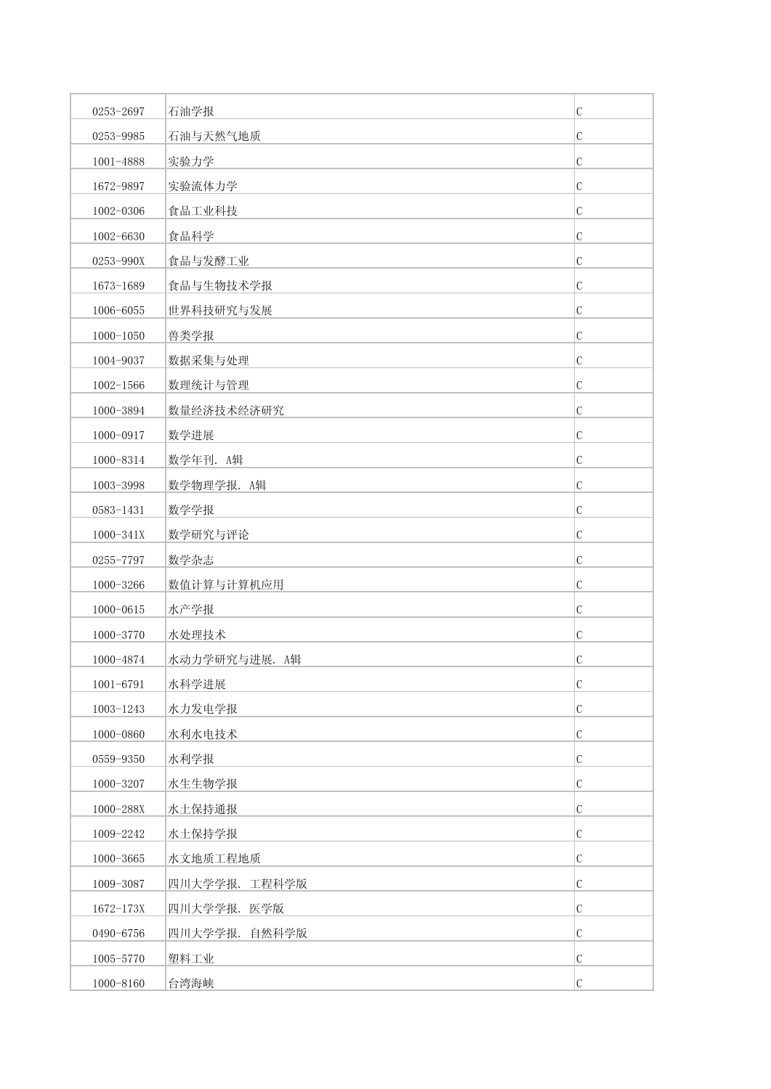| 0253-2697     | 石油学报          | $\mathcal{C}$ |
|---------------|---------------|---------------|
| 0253-9985     | 石油与天然气地质      | $\mathcal{C}$ |
| 1001-4888     | 实验力学          | $\mathcal{C}$ |
| 1672-9897     | 实验流体力学        | $\mathcal{C}$ |
| 1002-0306     | 食品工业科技        | C             |
| 1002-6630     | 食品科学          | $\mathcal{C}$ |
| 0253-990X     | 食品与发酵工业       | $\mathcal{C}$ |
| 1673-1689     | 食品与生物技术学报     | $\mathcal{C}$ |
| 1006-6055     | 世界科技研究与发展     | $\mathcal{C}$ |
| $1000 - 1050$ | 兽类学报          | $\mathcal{C}$ |
| 1004-9037     | 数据采集与处理       | $\mathcal{C}$ |
| $1002 - 1566$ | 数理统计与管理       | C             |
| 1000-3894     | 数量经济技术经济研究    | $\mathcal{C}$ |
| 1000-0917     | 数学进展          | $\mathcal{C}$ |
| 1000-8314     | 数学年刊. A辑      | $\mathcal C$  |
| 1003-3998     | 数学物理学报. A辑    | $\mathcal{C}$ |
| 0583-1431     | 数学学报          | C             |
| 1000-341X     | 数学研究与评论       | $\mathcal{C}$ |
| 0255-7797     | 数学杂志          | $\mathcal{C}$ |
| 1000-3266     | 数值计算与计算机应用    | $\mathcal{C}$ |
| 1000-0615     | 水产学报          | $\mathcal{C}$ |
| 1000-3770     | 水处理技术         | C             |
| 1000-4874     | 水动力学研究与进展. A辑 | $\mathcal{C}$ |
| 1001-6791     | 水科学进展         | $\mathcal{C}$ |
| 1003-1243     | 水力发电学报        | $\mathcal{C}$ |
| 1000-0860     | 水利水电技术        | $\mathcal{C}$ |
| 0559-9350     | 水利学报          | $\mathcal{C}$ |
| 1000-3207     | 水生生物学报        | $\mathcal{C}$ |
| 1000-288X     | 水土保持通报        | $\mathcal{C}$ |
| 1009-2242     | 水土保持学报        | $\mathcal{C}$ |
| 1000-3665     | 水文地质工程地质      | $\mathcal{C}$ |
| 1009-3087     | 四川大学学报. 工程科学版 | $\mathcal{C}$ |
| 1672-173X     | 四川大学学报. 医学版   | $\mathcal C$  |
| 0490-6756     | 四川大学学报. 自然科学版 | $\mathcal{C}$ |
| 1005-5770     | 塑料工业          | $\mathcal{C}$ |
| 1000-8160     | 台湾海峡          | $\mathcal{C}$ |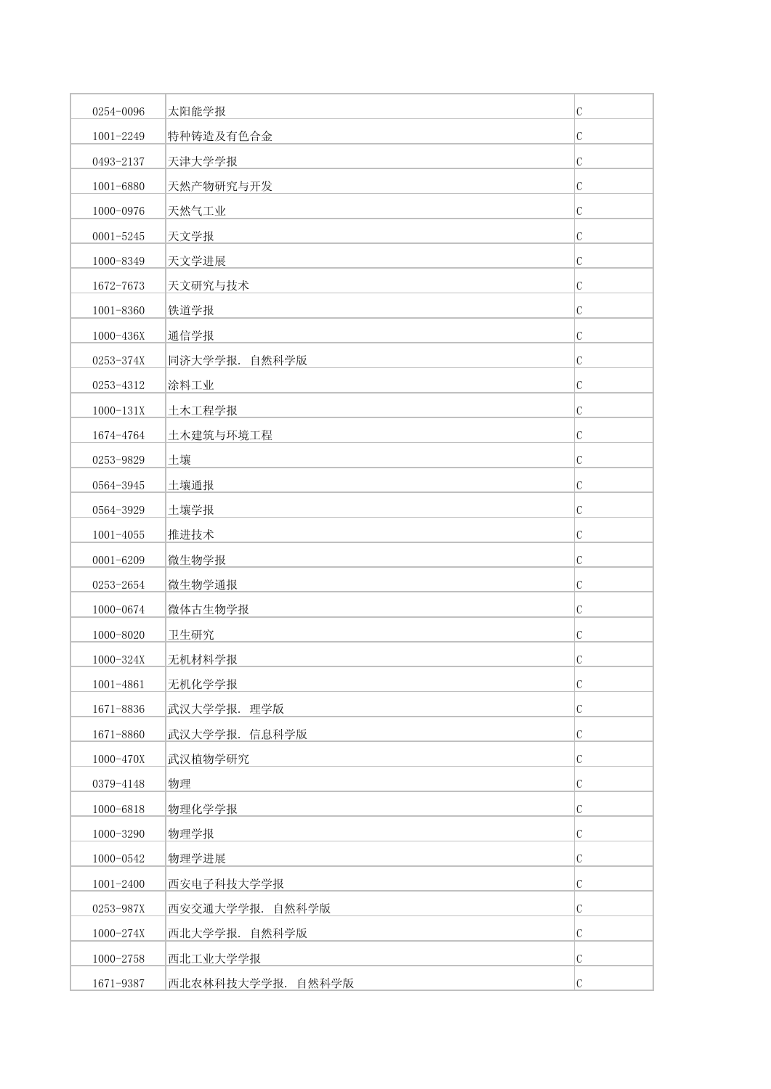| 0254-0096     | 太阳能学报             | $\mathcal{C}$ |
|---------------|-------------------|---------------|
| 1001-2249     | 特种铸造及有色合金         | $\mathcal{C}$ |
| 0493-2137     | 天津大学学报            | $\mathcal{C}$ |
| 1001-6880     | 天然产物研究与开发         | $\mathcal{C}$ |
| 1000-0976     | 天然气工业             | $\mathcal{C}$ |
| $0001 - 5245$ | 天文学报              | $\mathcal{C}$ |
| 1000-8349     | 天文学进展             | $\mathcal{C}$ |
| 1672-7673     | 天文研究与技术           | $\mathcal{C}$ |
| 1001-8360     | 铁道学报              | $\mathcal{C}$ |
| 1000-436X     | 通信学报              | $\mathcal{C}$ |
| 0253-374X     | 同济大学学报. 自然科学版     | $\mathcal{C}$ |
| 0253-4312     | 涂料工业              | $\mathcal{C}$ |
| $1000 - 131X$ | 土木工程学报            | $\mathcal{C}$ |
| 1674-4764     | 土木建筑与环境工程         | $\mathcal{C}$ |
| 0253-9829     | 土壤                | $\mathcal{C}$ |
| 0564-3945     | 土壤通报              | $\mathcal{C}$ |
| 0564-3929     | 土壤学报              | C             |
| $1001 - 4055$ | 推进技术              | $\mathcal{C}$ |
| 0001-6209     | 微生物学报             | $\mathcal{C}$ |
| 0253-2654     | 微生物学通报            | $\mathcal{C}$ |
| 1000-0674     | 微体古生物学报           | $\mathcal{C}$ |
| 1000-8020     | 卫生研究              | $\mathcal C$  |
| 1000-324X     | 无机材料学报            | $\mathcal C$  |
| 1001-4861     | 无机化学学报            | $\mathcal{C}$ |
| 1671-8836     | 武汉大学学报. 理学版       | $\mathcal{C}$ |
| 1671-8860     | 武汉大学学报. 信息科学版     | $\mathcal{C}$ |
| 1000-470X     | 武汉植物学研究           | $\mathcal{C}$ |
| 0379-4148     | 物理                | $\mathcal C$  |
| 1000-6818     | 物理化学学报            | $\mathcal{C}$ |
| 1000-3290     | 物理学报              | $\mathcal{C}$ |
| 1000-0542     | 物理学进展             | $\mathcal C$  |
| 1001-2400     | 西安电子科技大学学报        | C             |
| 0253-987X     | 西安交通大学学报. 自然科学版   | $\mathcal{C}$ |
| 1000-274X     | 西北大学学报. 自然科学版     | $\mathcal{C}$ |
| 1000-2758     | 西北工业大学学报          | $\mathcal{C}$ |
| 1671-9387     | 西北农林科技大学学报. 自然科学版 | $\mathcal{C}$ |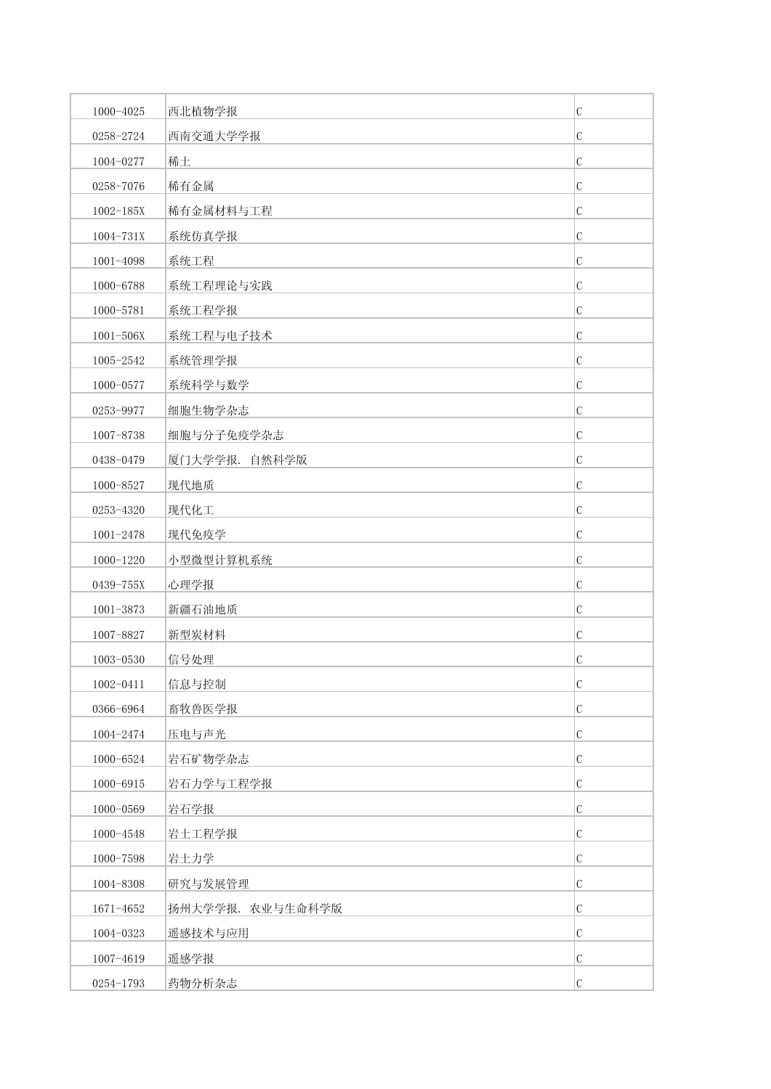| 1000-4025     | 西北植物学报           | $\mathsf C$   |
|---------------|------------------|---------------|
| 0258-2724     | 西南交通大学学报         | C             |
| 1004-0277     | 稀土               | $\mathbf C$   |
| 0258-7076     | 稀有金属             | C             |
| $1002 - 185X$ | 稀有金属材料与工程        | C             |
| 1004-731X     | 系统仿真学报           | $\mathcal{C}$ |
| 1001-4098     | 系统工程             | C             |
| 1000-6788     | 系统工程理论与实践        | $\mathcal{C}$ |
| 1000-5781     | 系统工程学报           | $\mathbf C$   |
| $1001 - 506X$ | 系统工程与电子技术        | $\mathbf C$   |
| 1005-2542     | 系统管理学报           | C             |
| 1000-0577     | 系统科学与数学          | C             |
| 0253-9977     | 细胞生物学杂志          | $\mathcal{C}$ |
| 1007-8738     | 细胞与分子免疫学杂志       | $\mathbf C$   |
| 0438-0479     | 厦门大学学报. 自然科学版    | $\mathbf C$   |
| 1000-8527     | 现代地质             | $\mathbf C$   |
| 0253-4320     | 现代化工             | C             |
| 1001-2478     | 现代免疫学            | C             |
| 1000-1220     | 小型微型计算机系统        | $\mathbf C$   |
| 0439-755X     | 心理学报             | C             |
| $1001 - 3873$ | 新疆石油地质           | $\mathcal{C}$ |
| 1007-8827     | 新型炭材料            | C             |
| $1003 - 0530$ | 信号处理             | $\mathbf C$   |
| 1002-0411     | 信息与控制            | $\cal C$      |
| 0366-6964     | 畜牧兽医学报           | $\mathbf C$   |
| 1004-2474     | 压电与声光            | C             |
| 1000-6524     | 岩石矿物学杂志          | $\mathbf C$   |
| 1000-6915     | 岩石力学与工程学报        | $\mathcal{C}$ |
| 1000-0569     | 岩石学报             | $\mathbf C$   |
| 1000-4548     | 岩土工程学报           | $\mathcal{C}$ |
| 1000-7598     | 岩土力学             | $\mathbf C$   |
| 1004-8308     | 研究与发展管理          | $\mathcal{C}$ |
| 1671-4652     | 扬州大学学报. 农业与生命科学版 | $\mathbf C$   |
| 1004-0323     | 遥感技术与应用          | $\mathbf C$   |
| 1007-4619     | 遥感学报             | $\mathbf C$   |
| 0254-1793     | 药物分析杂志           | $\mathcal{C}$ |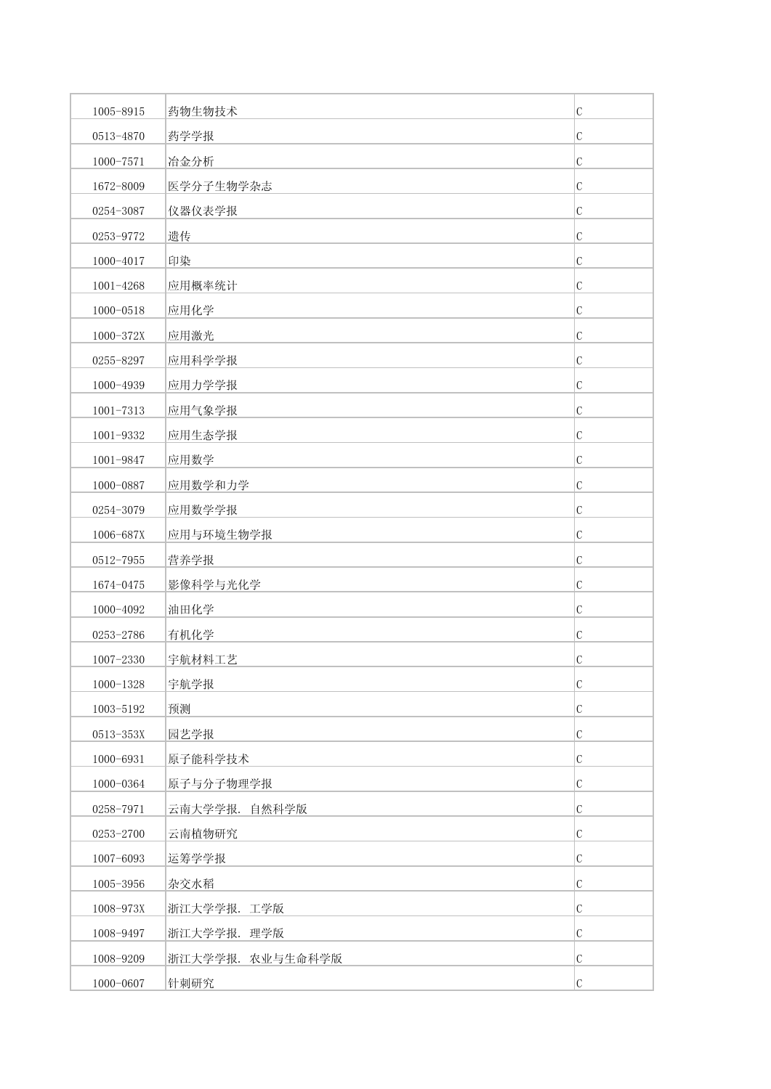| 1005-8915     | 药物生物技术           | $\mathcal{C}$ |
|---------------|------------------|---------------|
| 0513-4870     | 药学学报             | $\mathcal{C}$ |
| 1000-7571     | 冶金分析             | $\mathcal{C}$ |
| 1672-8009     | 医学分子生物学杂志        | $\mathcal{C}$ |
| 0254-3087     | 仪器仪表学报           | $\mathcal{C}$ |
| 0253-9772     | 遗传               | $\mathcal{C}$ |
| 1000-4017     | 印染               | $\mathcal{C}$ |
| 1001-4268     | 应用概率统计           | $\mathcal{C}$ |
| 1000-0518     | 应用化学             | $\mathcal{C}$ |
| 1000-372X     | 应用激光             | $\mathcal{C}$ |
| 0255-8297     | 应用科学学报           | $\mathcal{C}$ |
| 1000-4939     | 应用力学学报           | $\mathcal{C}$ |
| $1001 - 7313$ | 应用气象学报           | $\mathcal{C}$ |
| 1001-9332     | 应用生态学报           | $\mathcal{C}$ |
| 1001-9847     | 应用数学             | $\mathcal{C}$ |
| 1000-0887     | 应用数学和力学          | $\mathcal{C}$ |
| 0254-3079     | 应用数学学报           | $\mathcal{C}$ |
| 1006-687X     | 应用与环境生物学报        | $\mathcal{C}$ |
| 0512-7955     | 营养学报             | $\mathcal{C}$ |
| 1674-0475     | 影像科学与光化学         | $\mathcal{C}$ |
| 1000-4092     | 油田化学             | $\mathcal{C}$ |
| 0253-2786     | 有机化学             | $\mathcal{C}$ |
| $1007 - 2330$ | 宇航材料工艺           | $\mathcal{C}$ |
| $1000 - 1328$ | 宇航学报             | $\mathcal{C}$ |
| 1003-5192     | 预测               | $\mathcal{C}$ |
| 0513-353X     | 园艺学报             | $\mathcal{C}$ |
| 1000-6931     | 原子能科学技术          | $\mathcal{C}$ |
| 1000-0364     | 原子与分子物理学报        | $\mathcal{C}$ |
| 0258-7971     | 云南大学学报. 自然科学版    | $\mathcal{C}$ |
| 0253-2700     | 云南植物研究           | $\mathcal{C}$ |
| 1007-6093     | 运筹学学报            | C             |
| 1005-3956     | 杂交水稻             | $\mathcal{C}$ |
| 1008-973X     | 浙江大学学报. 工学版      | $\mathcal C$  |
| 1008-9497     | 浙江大学学报. 理学版      | $\mathcal{C}$ |
| 1008-9209     | 浙江大学学报. 农业与生命科学版 | $\mathcal{C}$ |
| 1000-0607     | 针刺研究             | $\mathcal{C}$ |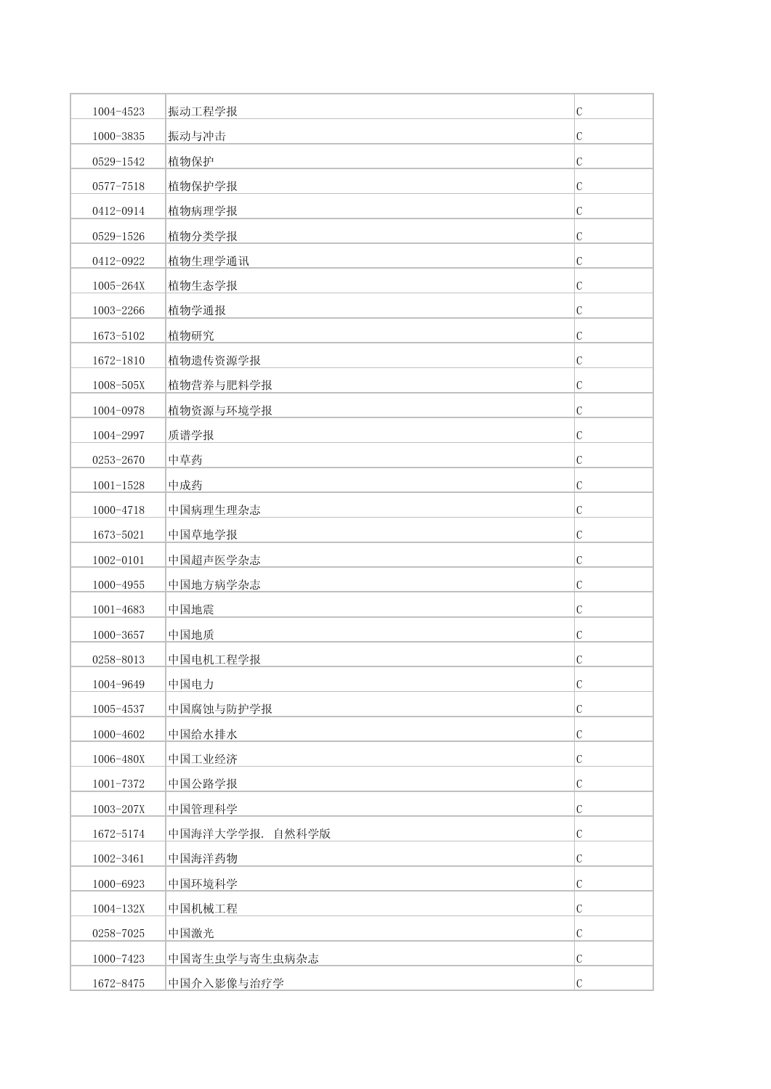| 1004-4523     | 振动工程学报          | $\mathcal{C}$ |
|---------------|-----------------|---------------|
| 1000-3835     | 振动与冲击           | $\mathcal{C}$ |
| 0529-1542     | 植物保护            | $\mathcal{C}$ |
| 0577-7518     | 植物保护学报          | $\mathcal{C}$ |
| 0412-0914     | 植物病理学报          | $\mathcal{C}$ |
| 0529-1526     | 植物分类学报          | $\mathcal{C}$ |
| 0412-0922     | 植物生理学通讯         | $\mathcal{C}$ |
| 1005-264X     | 植物生态学报          | $\mathcal{C}$ |
| 1003-2266     | 植物学通报           | $\mathcal{C}$ |
| 1673-5102     | 植物研究            | $\mathcal{C}$ |
| 1672-1810     | 植物遗传资源学报        | $\mathcal{C}$ |
| 1008-505X     | 植物营养与肥料学报       | C             |
| 1004-0978     | 植物资源与环境学报       | $\mathcal{C}$ |
| 1004-2997     | 质谱学报            | $\mathcal{C}$ |
| 0253-2670     | 中草药             | $\mathcal{C}$ |
| $1001 - 1528$ | 中成药             | $\mathcal{C}$ |
| 1000-4718     | 中国病理生理杂志        | C             |
| 1673-5021     | 中国草地学报          | $\mathcal{C}$ |
| 1002-0101     | 中国超声医学杂志        | $\mathcal{C}$ |
| $1000 - 4955$ | 中国地方病学杂志        | $\mathcal{C}$ |
| 1001-4683     | 中国地震            | $\mathcal{C}$ |
| 1000-3657     | 中国地质            | C             |
| 0258-8013     | 中国电机工程学报        | $\mathcal{C}$ |
| 1004-9649     | 中国电力            | $\mathcal{C}$ |
| 1005-4537     | 中国腐蚀与防护学报       | $\mathcal{C}$ |
| 1000-4602     | 中国给水排水          | $\mathcal{C}$ |
| 1006-480X     | 中国工业经济          | $\mathcal{C}$ |
| 1001-7372     | 中国公路学报          | $\mathcal{C}$ |
| 1003-207X     | 中国管理科学          | $\mathcal{C}$ |
| 1672-5174     | 中国海洋大学学报. 自然科学版 | $\mathcal{C}$ |
| 1002-3461     | 中国海洋药物          | $\mathcal C$  |
| 1000-6923     | 中国环境科学          | $\mathcal{C}$ |
| $1004 - 132X$ | 中国机械工程          | $\mathcal C$  |
| 0258-7025     | 中国激光            | $\mathcal{C}$ |
| 1000-7423     | 中国寄生虫学与寄生虫病杂志   | $\mathcal{C}$ |
| 1672-8475     | 中国介入影像与治疗学      | $\mathcal{C}$ |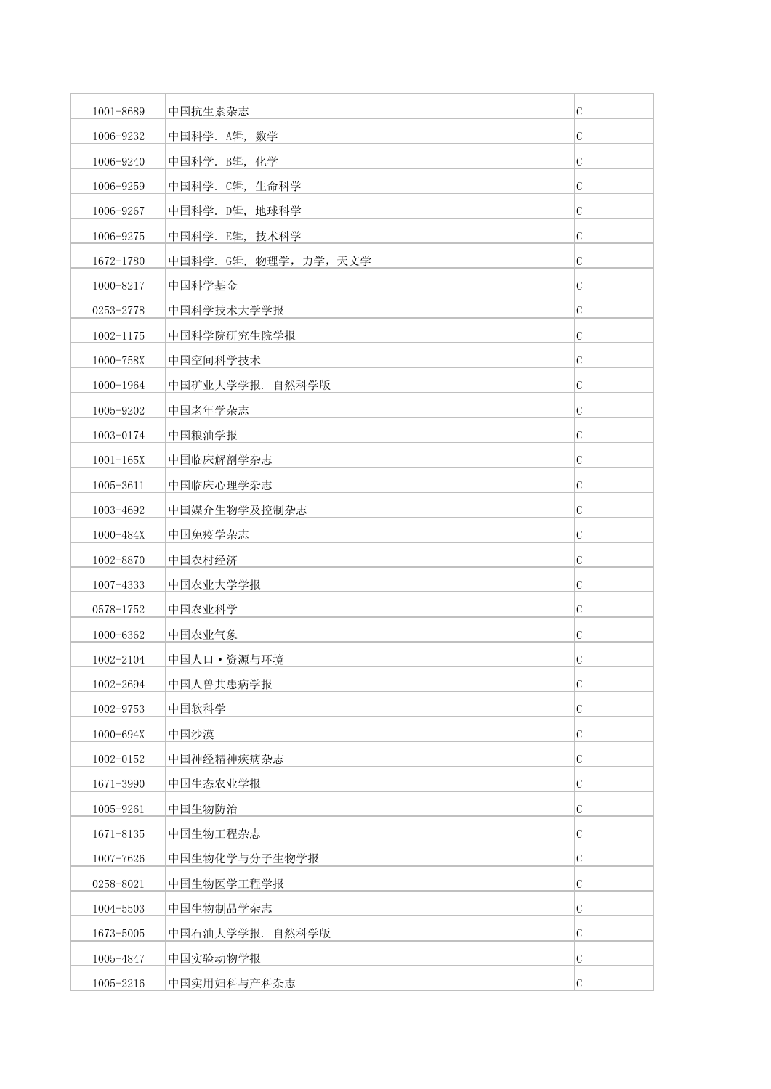| 1001-8689     | 中国抗生素杂志                | $\mathcal{C}$ |
|---------------|------------------------|---------------|
| 1006-9232     | 中国科学. A辑, 数学           | $\mathcal{C}$ |
| 1006-9240     | 中国科学. B辑, 化学           | C             |
| 1006-9259     | 中国科学. C辑, 生命科学         | C             |
| 1006-9267     | 中国科学. D辑, 地球科学         | $\mathcal C$  |
| 1006-9275     | 中国科学. E辑, 技术科学         | $\mathcal{C}$ |
| 1672-1780     | 中国科学. G辑, 物理学, 力学, 天文学 | C             |
| 1000-8217     | 中国科学基金                 | $\mathcal{C}$ |
| 0253-2778     | 中国科学技术大学学报             | $\mathcal{C}$ |
| 1002-1175     | 中国科学院研究生院学报            | C             |
| 1000-758X     | 中国空间科学技术               | $\mathcal{C}$ |
| 1000-1964     | 中国矿业大学学报. 自然科学版        | C             |
| 1005-9202     | 中国老年学杂志                | C             |
| 1003-0174     | 中国粮油学报                 | C             |
| $1001 - 165X$ | 中国临床解剖学杂志              | $\mathcal{C}$ |
| 1005-3611     | 中国临床心理学杂志              | $\mathcal{C}$ |
| 1003-4692     | 中国媒介生物学及控制杂志           | C             |
| 1000-484X     | 中国免疫学杂志                | C             |
| 1002-8870     | 中国农村经济                 | C             |
| 1007-4333     | 中国农业大学学报               | $\mathcal C$  |
| 0578-1752     | 中国农业科学                 | $\mathcal{C}$ |
| 1000-6362     | 中国农业气象                 | C             |
| 1002-2104     | 中国人口 • 资源与环境           | C             |
| 1002-2694     | 中国人兽共患病学报              | $\mathcal{C}$ |
| 1002-9753     | 中国软科学                  | $\mathcal{C}$ |
| 1000-694X     | 中国沙漠                   | C             |
| 1002-0152     | 中国神经精神疾病杂志             | $\mathcal{C}$ |
| 1671-3990     | 中国生态农业学报               | C             |
| 1005-9261     | 中国生物防治                 | $\mathcal{C}$ |
| 1671-8135     | 中国生物工程杂志               | $\mathcal{C}$ |
| 1007-7626     | 中国生物化学与分子生物学报          | C             |
| 0258-8021     | 中国生物医学工程学报             | $\mathcal{C}$ |
| 1004-5503     | 中国生物制品学杂志              | C             |
| 1673-5005     | 中国石油大学学报. 自然科学版        | $\mathcal{C}$ |
| 1005-4847     | 中国实验动物学报               | $\mathcal{C}$ |
| 1005-2216     | 中国实用妇科与产科杂志            | $\mathcal{C}$ |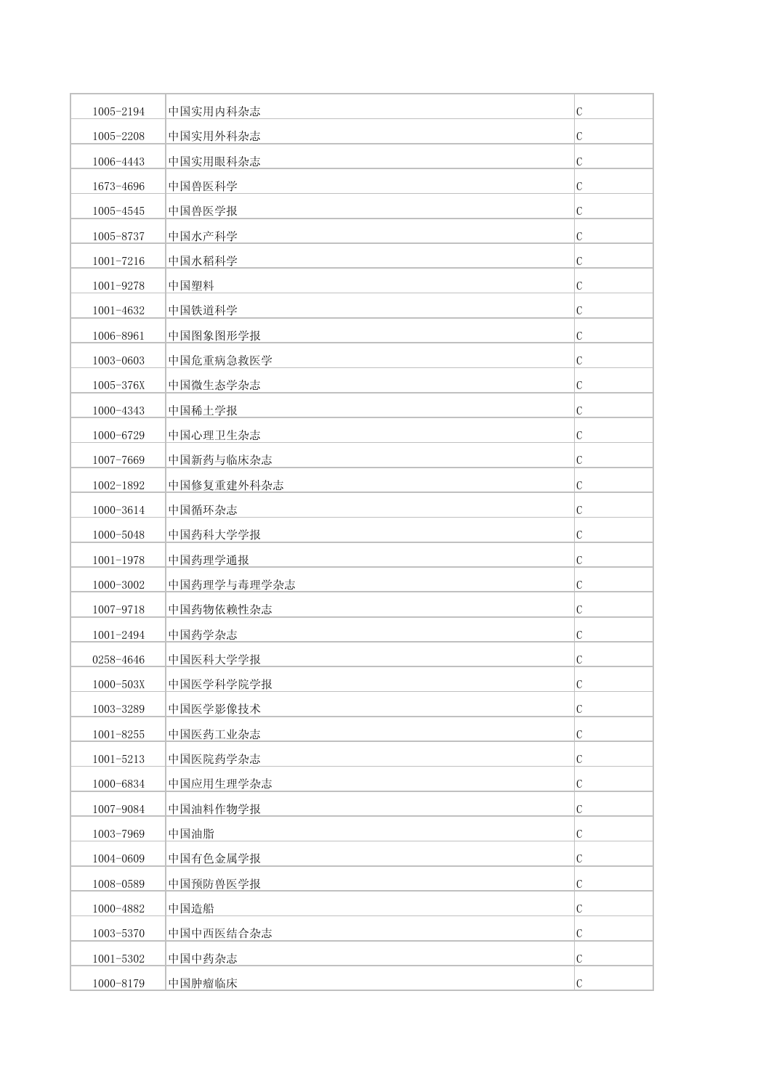| 1005-2194     | 中国实用内科杂志    | $\mathcal{C}$ |
|---------------|-------------|---------------|
| 1005-2208     | 中国实用外科杂志    | $\mathcal{C}$ |
| 1006-4443     | 中国实用眼科杂志    | $\mathcal{C}$ |
| 1673-4696     | 中国兽医科学      | $\mathcal{C}$ |
| 1005-4545     | 中国兽医学报      | $\mathcal C$  |
| 1005-8737     | 中国水产科学      | $\mathcal{C}$ |
| $1001 - 7216$ | 中国水稻科学      | $\mathcal{C}$ |
| 1001-9278     | 中国塑料        | $\mathcal{C}$ |
| 1001-4632     | 中国铁道科学      | $\mathcal{C}$ |
| 1006-8961     | 中国图象图形学报    | $\mathcal{C}$ |
| 1003-0603     | 中国危重病急救医学   | $\mathcal{C}$ |
| 1005-376X     | 中国微生态学杂志    | C             |
| 1000-4343     | 中国稀土学报      | $\mathcal{C}$ |
| 1000-6729     | 中国心理卫生杂志    | $\mathcal{C}$ |
| 1007-7669     | 中国新药与临床杂志   | $\mathcal{C}$ |
| 1002-1892     | 中国修复重建外科杂志  | $\mathcal{C}$ |
| 1000-3614     | 中国循环杂志      | C             |
| 1000-5048     | 中国药科大学学报    | $\mathcal{C}$ |
| $1001 - 1978$ | 中国药理学通报     | $\mathcal{C}$ |
| 1000-3002     | 中国药理学与毒理学杂志 | $\mathcal{C}$ |
| 1007-9718     | 中国药物依赖性杂志   | $\mathcal{C}$ |
| 1001-2494     | 中国药学杂志      | C             |
| 0258-4646     | 中国医科大学学报    | $\mathcal{C}$ |
| 1000-503X     | 中国医学科学院学报   | $\mathcal{C}$ |
| 1003-3289     | 中国医学影像技术    | $\mathcal{C}$ |
| $1001 - 8255$ | 中国医药工业杂志    | $\mathcal C$  |
| $1001 - 5213$ | 中国医院药学杂志    | $\mathcal{C}$ |
| 1000-6834     | 中国应用生理学杂志   | C             |
| 1007-9084     | 中国油料作物学报    | $\mathcal{C}$ |
| 1003-7969     | 中国油脂        | $\mathcal{C}$ |
| 1004-0609     | 中国有色金属学报    | $\mathcal C$  |
| 1008-0589     | 中国预防兽医学报    | $\mathcal{C}$ |
| 1000-4882     | 中国造船        | C             |
| 1003-5370     | 中国中西医结合杂志   | $\mathcal{C}$ |
| 1001-5302     | 中国中药杂志      | $\mathcal{C}$ |
| 1000-8179     | 中国肿瘤临床      | $\mathcal{C}$ |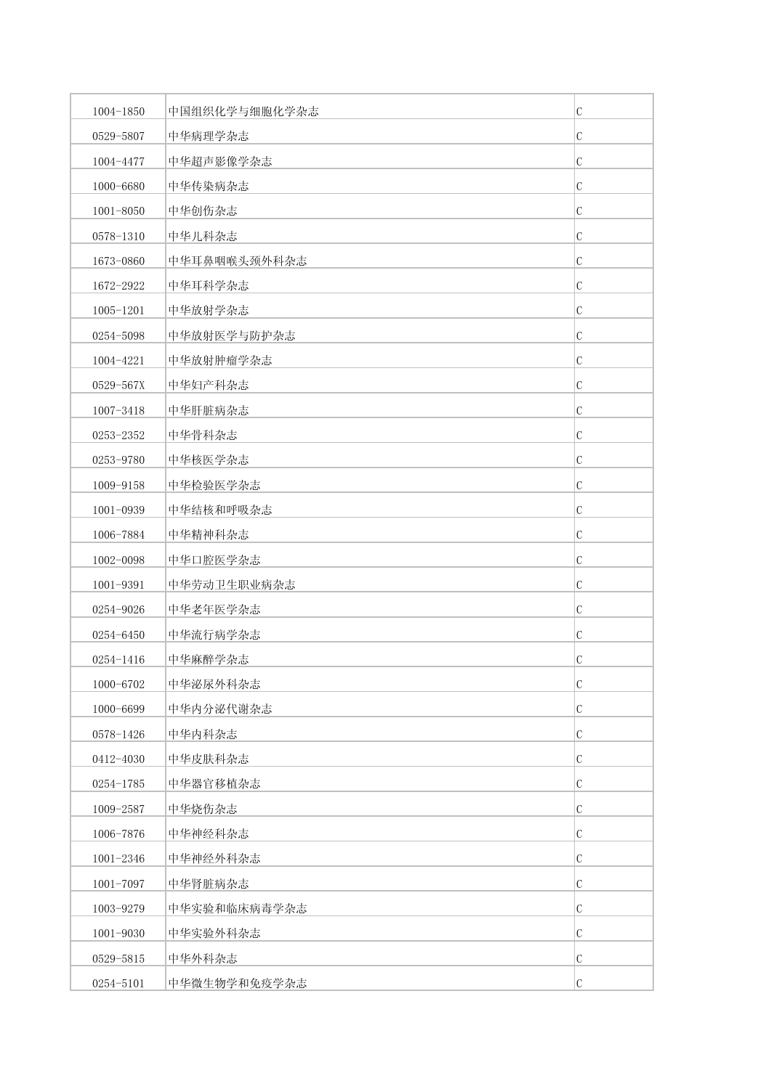| 1004-1850     | 中国组织化学与细胞化学杂志 | $\mathcal{C}$ |
|---------------|---------------|---------------|
| 0529-5807     | 中华病理学杂志       | $\mathcal{C}$ |
| 1004-4477     | 中华超声影像学杂志     | $\mathcal{C}$ |
| 1000-6680     | 中华传染病杂志       | C             |
| 1001-8050     | 中华创伤杂志        | $\mathcal C$  |
| 0578-1310     | 中华儿科杂志        | $\mathcal{C}$ |
| 1673-0860     | 中华耳鼻咽喉头颈外科杂志  | $\mathcal{C}$ |
| 1672-2922     | 中华耳科学杂志       | $\mathcal{C}$ |
| $1005 - 1201$ | 中华放射学杂志       | C             |
| 0254-5098     | 中华放射医学与防护杂志   | $\mathcal C$  |
| 1004-4221     | 中华放射肿瘤学杂志     | $\mathcal{C}$ |
| 0529-567X     | 中华妇产科杂志       | C             |
| 1007-3418     | 中华肝脏病杂志       | $\mathcal{C}$ |
| 0253-2352     | 中华骨科杂志        | $\mathcal{C}$ |
| 0253-9780     | 中华核医学杂志       | $\mathcal{C}$ |
| 1009-9158     | 中华检验医学杂志      | $\mathcal{C}$ |
| 1001-0939     | 中华结核和呼吸杂志     | C             |
| 1006-7884     | 中华精神科杂志       | $\mathcal{C}$ |
| 1002-0098     | 中华口腔医学杂志      | $\mathcal{C}$ |
| 1001-9391     | 中华劳动卫生职业病杂志   | $\mathcal{C}$ |
| 0254-9026     | 中华老年医学杂志      | $\mathcal{C}$ |
| 0254-6450     | 中华流行病学杂志      | $\mathcal{C}$ |
| 0254-1416     | 中华麻醉学杂志       | $\mathcal{C}$ |
| 1000-6702     | 中华泌尿外科杂志      | $\mathcal{C}$ |
| 1000-6699     | 中华内分泌代谢杂志     | $\mathcal{C}$ |
| 0578-1426     | 中华内科杂志        | $\mathcal{C}$ |
| 0412-4030     | 中华皮肤科杂志       | $\mathcal C$  |
| 0254-1785     | 中华器官移植杂志      | C             |
| 1009-2587     | 中华烧伤杂志        | $\mathcal{C}$ |
| 1006-7876     | 中华神经科杂志       | $\mathcal{C}$ |
| 1001-2346     | 中华神经外科杂志      | $\mathcal{C}$ |
| 1001-7097     | 中华肾脏病杂志       | $\mathcal{C}$ |
| 1003-9279     | 中华实验和临床病毒学杂志  | C             |
| 1001-9030     | 中华实验外科杂志      | $\mathcal{C}$ |
| 0529-5815     | 中华外科杂志        | $\mathcal{C}$ |
| 0254-5101     | 中华微生物学和免疫学杂志  | $\mathcal{C}$ |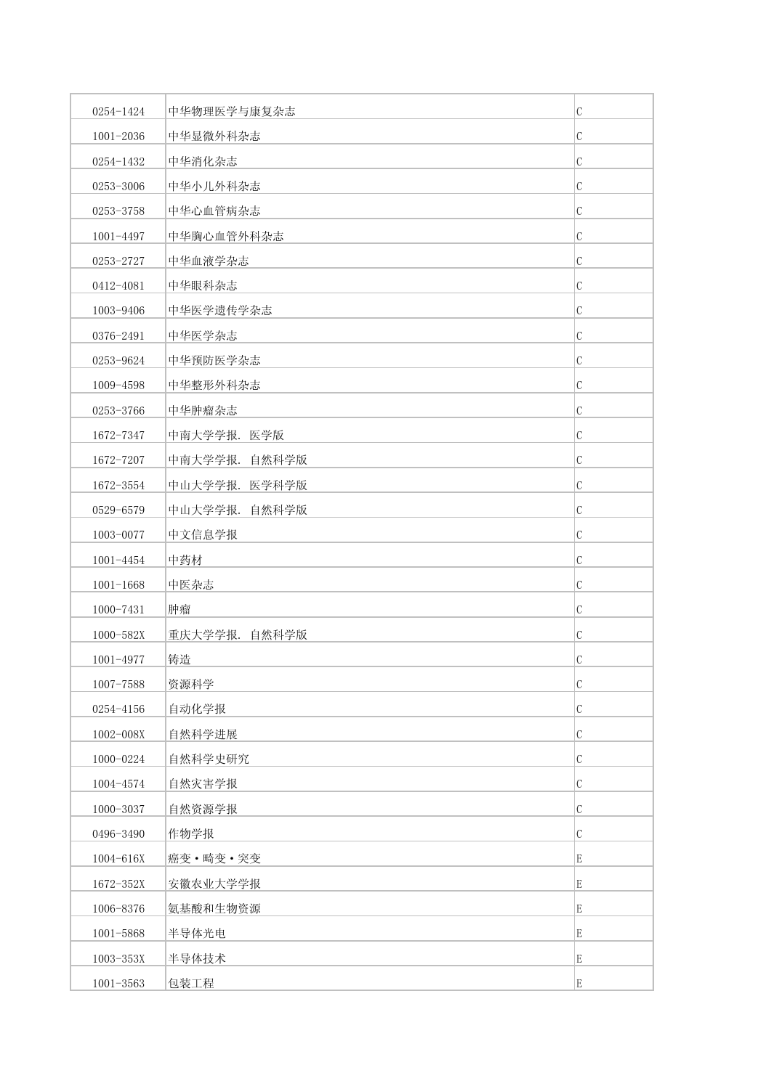| 0254-1424     | 中华物理医学与康复杂志   | $\mathbf C$   |
|---------------|---------------|---------------|
| 1001-2036     | 中华显微外科杂志      | $\mathcal{C}$ |
| 0254-1432     | 中华消化杂志        | $\mathbf C$   |
| 0253-3006     | 中华小儿外科杂志      | C             |
| 0253-3758     | 中华心血管病杂志      | C             |
| 1001-4497     | 中华胸心血管外科杂志    | $\mathbf C$   |
| 0253-2727     | 中华血液学杂志       | C             |
| 0412-4081     | 中华眼科杂志        | $\mathcal{C}$ |
| 1003-9406     | 中华医学遗传学杂志     | C             |
| 0376-2491     | 中华医学杂志        | $\mathbf C$   |
| 0253-9624     | 中华预防医学杂志      | $\mathcal{C}$ |
| 1009-4598     | 中华整形外科杂志      | $\mathbf C$   |
| 0253-3766     | 中华肿瘤杂志        | $\mathcal{C}$ |
| 1672-7347     | 中南大学学报. 医学版   | $\mathbf C$   |
| 1672-7207     | 中南大学学报. 自然科学版 | $\mathbf C$   |
| 1672-3554     | 中山大学学报. 医学科学版 | $\mathbf C$   |
| 0529-6579     | 中山大学学报. 自然科学版 | $\mathcal{C}$ |
| 1003-0077     | 中文信息学报        | C             |
| 1001-4454     | 中药材           | $\mathbf C$   |
| $1001 - 1668$ | 中医杂志          | C             |
| 1000-7431     | 肿瘤            | $\mathcal{C}$ |
| 1000-582X     | 重庆大学学报. 自然科学版 | C             |
| 1001-4977     | 铸造            | $\mathbf C$   |
| 1007-7588     | 资源科学          | $\cal C$      |
| 0254-4156     | 自动化学报         | $\mathbf C$   |
| 1002-008X     | 自然科学进展        | $\mathbf C$   |
| 1000-0224     | 自然科学史研究       | $\mathbf C$   |
| 1004-4574     | 自然灾害学报        | $\mathcal{C}$ |
| 1000-3037     | 自然资源学报        | $\mathbf C$   |
| 0496-3490     | 作物学报          | $\mathcal{C}$ |
| 1004-616X     | 癌变·畸变·突变      | E             |
| 1672-352X     | 安徽农业大学学报      | E             |
| 1006-8376     | 氨基酸和生物资源      | E             |
| 1001-5868     | 半导体光电         | E             |
| 1003-353X     | 半导体技术         | E             |
| $1001 - 3563$ | 包装工程          | E             |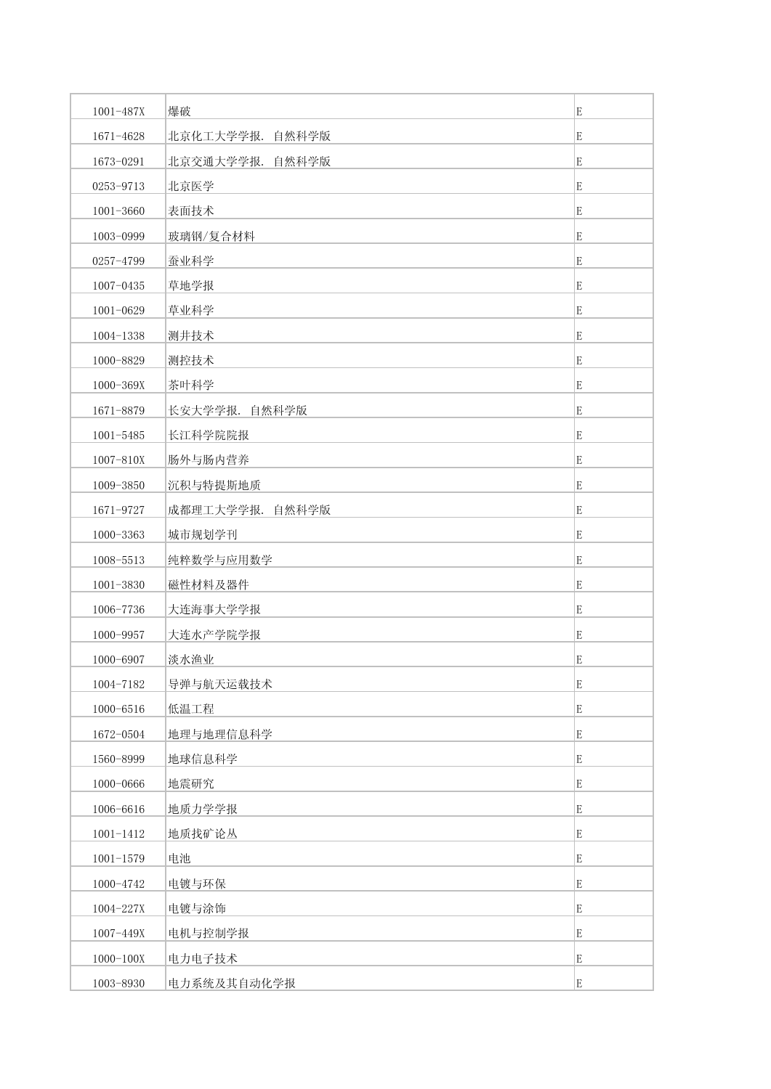| 1001-487X     | 爆破              | E           |
|---------------|-----------------|-------------|
| 1671-4628     | 北京化工大学学报. 自然科学版 | E           |
| 1673-0291     | 北京交通大学学报. 自然科学版 | E           |
| 0253-9713     | 北京医学            | E           |
| 1001-3660     | 表面技术            | E           |
| 1003-0999     | 玻璃钢/复合材料        | E           |
| 0257-4799     | 蚕业科学            | E           |
| 1007-0435     | 草地学报            | E           |
| 1001-0629     | 草业科学            | E           |
| 1004-1338     | 测井技术            | E           |
| 1000-8829     | 测控技术            | E           |
| 1000-369X     | 茶叶科学            | E           |
| 1671-8879     | 长安大学学报. 自然科学版   | E           |
| $1001 - 5485$ | 长江科学院院报         | E           |
| 1007-810X     | 肠外与肠内营养         | E           |
| 1009-3850     | 沉积与特提斯地质        | E           |
| 1671-9727     | 成都理工大学学报. 自然科学版 | E           |
| 1000-3363     | 城市规划学刊          | E           |
| 1008-5513     | 纯粹数学与应用数学       | E           |
| 1001-3830     | 磁性材料及器件         | E           |
| 1006-7736     | 大连海事大学学报        | E           |
| 1000-9957     | 大连水产学院学报        | E           |
| 1000-6907     | 淡水渔业            | E           |
| 1004-7182     | 导弹与航天运载技术       | E           |
| 1000-6516     | 低温工程            | E           |
| 1672-0504     | 地理与地理信息科学       | E           |
| 1560-8999     | 地球信息科学          | $\mathbf E$ |
| 1000-0666     | 地震研究            | E           |
| 1006-6616     | 地质力学学报          | $\mathbf E$ |
| $1001 - 1412$ | 地质找矿论丛          | E           |
| $1001 - 1579$ | 电池              | E           |
| 1000-4742     | 电镀与环保           | E           |
| 1004-227X     | 电镀与涂饰           | $\mathbf E$ |
| 1007-449X     | 电机与控制学报         | E           |
| $1000 - 100X$ | 电力电子技术          | $\mathbf E$ |
| 1003-8930     | 电力系统及其自动化学报     | $\mathbf E$ |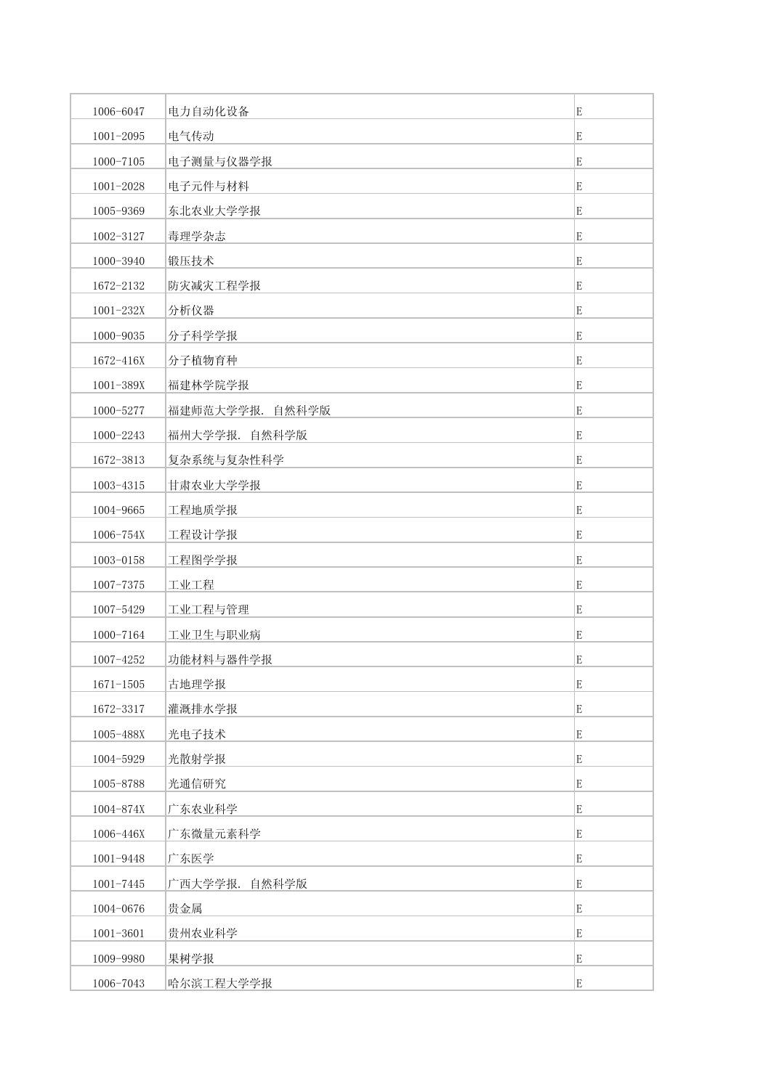| 1006-6047     | 电力自动化设备         | E           |
|---------------|-----------------|-------------|
| $1001 - 2095$ | 电气传动            | E           |
| 1000-7105     | 电子测量与仪器学报       | E           |
| 1001-2028     | 电子元件与材料         | E           |
| 1005-9369     | 东北农业大学学报        | E           |
| 1002-3127     | 毒理学杂志           | E           |
| 1000-3940     | 锻压技术            | E           |
| 1672-2132     | 防灾减灾工程学报        | E           |
| 1001-232X     | 分析仪器            | E           |
| 1000-9035     | 分子科学学报          | E           |
| 1672-416X     | 分子植物育种          | E           |
| 1001-389X     | 福建林学院学报         | E           |
| 1000-5277     | 福建师范大学学报. 自然科学版 | E           |
| 1000-2243     | 福州大学学报. 自然科学版   | $\mathbf E$ |
| 1672-3813     | 复杂系统与复杂性科学      | E           |
| 1003-4315     | 甘肃农业大学学报        | E           |
| 1004-9665     | 工程地质学报          | E           |
| 1006-754X     | 工程设计学报          | E           |
| 1003-0158     | 工程图学学报          | E           |
| 1007-7375     | 工业工程            | E           |
| 1007-5429     | 工业工程与管理         | E           |
| 1000-7164     | 工业卫生与职业病        | E           |
| 1007-4252     | 功能材料与器件学报       | E           |
| $1671 - 1505$ | 古地理学报           | E           |
| 1672-3317     | 灌溉排水学报          | E           |
| 1005-488X     | 光电子技术           | E           |
| 1004-5929     | 光散射学报           | $\mathbf E$ |
| 1005-8788     | 光通信研究           | E           |
| 1004-874X     | 广东农业科学          | E           |
| 1006-446X     | 广东微量元素科学        | E           |
| 1001-9448     | 广东医学            | E           |
| $1001 - 7445$ | 广西大学学报. 自然科学版   | E           |
| 1004-0676     | 贵金属             | $\mathbf E$ |
| $1001 - 3601$ | 贵州农业科学          | E           |
| 1009-9980     | 果树学报            | $\mathbf E$ |
| 1006-7043     | 哈尔滨工程大学学报       | E           |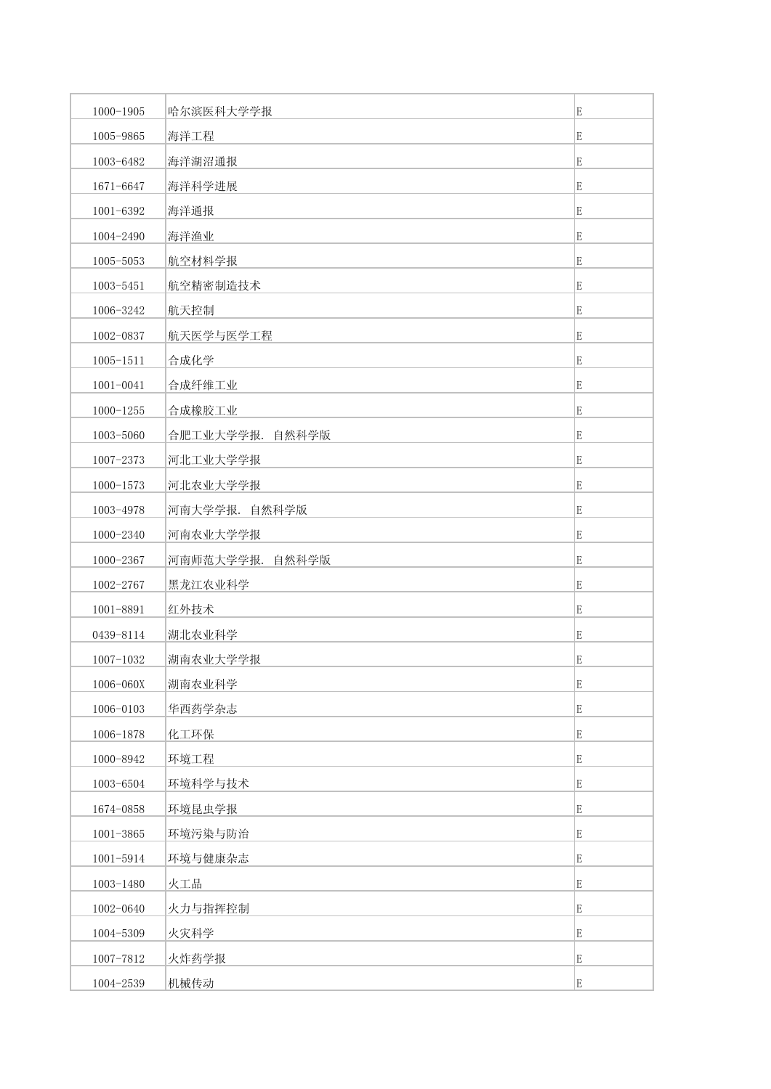| $1000 - 1905$ | 哈尔滨医科大学学报       | E           |
|---------------|-----------------|-------------|
| 1005-9865     | 海洋工程            | E           |
| 1003-6482     | 海洋湖沼通报          | E           |
| 1671-6647     | 海洋科学进展          | E           |
| 1001-6392     | 海洋通报            | E           |
| 1004-2490     | 海洋渔业            | E           |
| 1005-5053     | 航空材料学报          | E           |
| 1003-5451     | 航空精密制造技术        | E           |
| 1006-3242     | 航天控制            | E           |
| 1002-0837     | 航天医学与医学工程       | E           |
| $1005 - 1511$ | 合成化学            | E           |
| $1001 - 0041$ | 合成纤维工业          | E           |
| $1000 - 1255$ | 合成橡胶工业          | E           |
| 1003-5060     | 合肥工业大学学报. 自然科学版 | E           |
| 1007-2373     | 河北工业大学学报        | E           |
| $1000 - 1573$ | 河北农业大学学报        | E           |
| 1003-4978     | 河南大学学报. 自然科学版   | E           |
| 1000-2340     | 河南农业大学学报        | E           |
| 1000-2367     | 河南师范大学学报. 自然科学版 | E           |
| 1002-2767     | 黑龙江农业科学         | E           |
| 1001-8891     | 红外技术            | E           |
| 0439-8114     | 湖北农业科学          | E           |
| 1007-1032     | 湖南农业大学学报        | E           |
| 1006-060X     | 湖南农业科学          | $\mathbf E$ |
| 1006-0103     | 华西药学杂志          | E           |
| 1006-1878     | 化工环保            | E           |
| 1000-8942     | 环境工程            | $\mathbf E$ |
| 1003-6504     | 环境科学与技术         | E           |
| 1674-0858     | 环境昆虫学报          | $\mathbf E$ |
| $1001 - 3865$ | 环境污染与防治         | E           |
| 1001-5914     | 环境与健康杂志         | E           |
| 1003-1480     | 火工品             | E           |
| 1002-0640     | 火力与指挥控制         | $\mathbf E$ |
| 1004-5309     | 火灾科学            | E           |
| 1007-7812     | 火炸药学报           | E           |
| 1004-2539     | 机械传动            | $\mathbf E$ |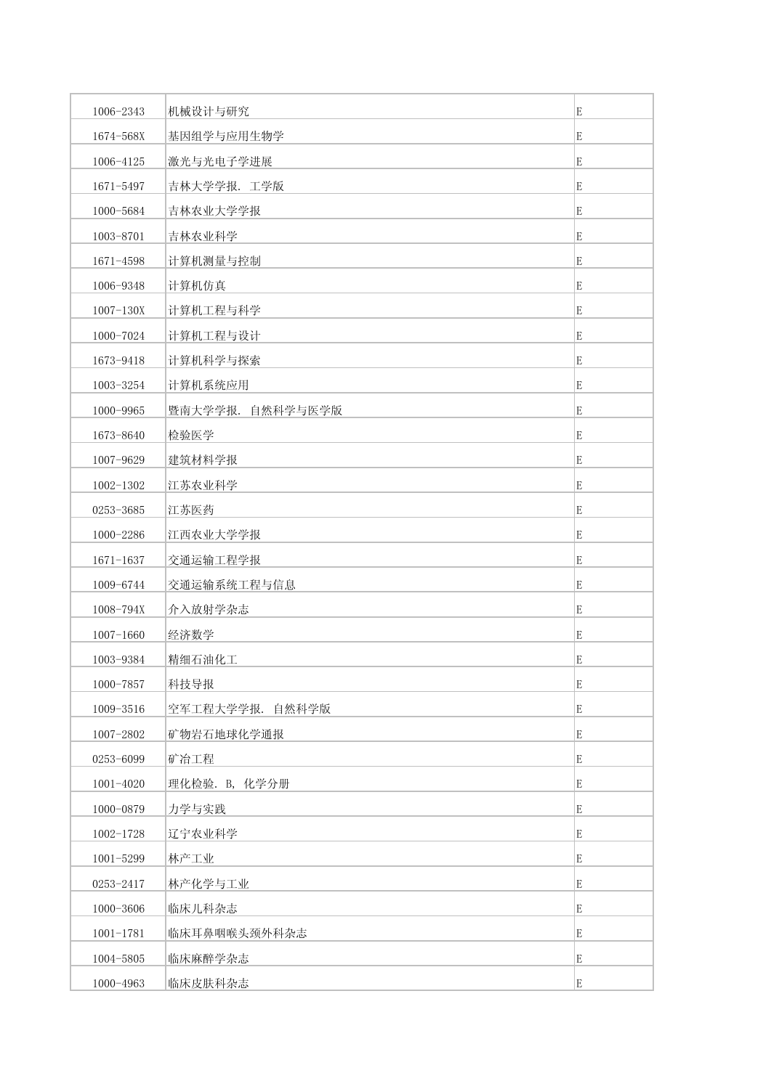| 1006-2343     | 机械设计与研究          | E |
|---------------|------------------|---|
| 1674-568X     | 基因组学与应用生物学       | E |
| 1006-4125     | 激光与光电子学进展        | E |
| 1671-5497     | 吉林大学学报. 工学版      | E |
| 1000-5684     | 吉林农业大学学报         | E |
| 1003-8701     | 吉林农业科学           | E |
| 1671-4598     | 计算机测量与控制         | E |
| 1006-9348     | 计算机仿真            | E |
| $1007 - 130X$ | 计算机工程与科学         | E |
| 1000-7024     | 计算机工程与设计         | E |
| 1673-9418     | 计算机科学与探索         | E |
| 1003-3254     | 计算机系统应用          | E |
| 1000-9965     | 暨南大学学报. 自然科学与医学版 | E |
| 1673-8640     | 检验医学             | E |
| 1007-9629     | 建筑材料学报           | E |
| 1002-1302     | 江苏农业科学           | E |
| 0253-3685     | 江苏医药             | E |
| 1000-2286     | 江西农业大学学报         | E |
| $1671 - 1637$ | 交通运输工程学报         | E |
| 1009-6744     | 交通运输系统工程与信息      | E |
| 1008-794X     | 介入放射学杂志          | E |
| $1007 - 1660$ | 经济数学             | E |
| 1003-9384     | 精细石油化工           | E |
| 1000-7857     | 科技导报             | E |
| 1009-3516     | 空军工程大学学报. 自然科学版  | E |
| 1007-2802     | 矿物岩石地球化学通报       | E |
| 0253-6099     | 矿冶工程             | E |
| $1001 - 4020$ | 理化检验. B, 化学分册    | E |
| 1000-0879     | 力学与实践            | E |
| 1002-1728     | 辽宁农业科学           | E |
| 1001-5299     | 林产工业             | E |
| 0253-2417     | 林产化学与工业          | E |
| 1000-3606     | 临床儿科杂志           | E |
| $1001 - 1781$ | 临床耳鼻咽喉头颈外科杂志     | E |
| 1004-5805     | 临床麻醉学杂志          | E |
| 1000-4963     | 临床皮肤科杂志          | E |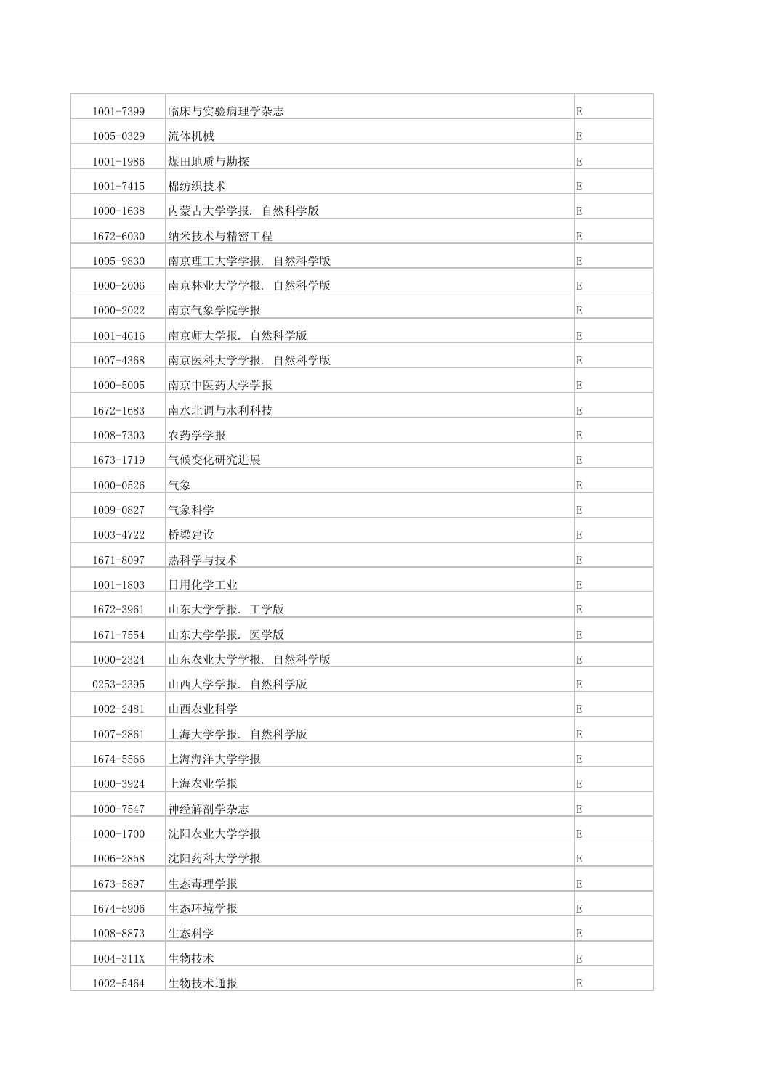| 1001-7399     | 临床与实验病理学杂志      | E           |
|---------------|-----------------|-------------|
| 1005-0329     | 流体机械            | E           |
| $1001 - 1986$ | 煤田地质与勘探         | E           |
| $1001 - 7415$ | 棉纺织技术           | E           |
| 1000-1638     | 内蒙古大学学报. 自然科学版  | E           |
| 1672-6030     | 纳米技术与精密工程       | E           |
| 1005-9830     | 南京理工大学学报. 自然科学版 | E           |
| 1000-2006     | 南京林业大学学报. 自然科学版 | E           |
| 1000-2022     | 南京气象学院学报        | E           |
| 1001-4616     | 南京师大学报. 自然科学版   | E           |
| 1007-4368     | 南京医科大学学报. 自然科学版 | E           |
| 1000-5005     | 南京中医药大学学报       | E           |
| 1672-1683     | 南水北调与水利科技       | E           |
| 1008-7303     | 农药学学报           | E           |
| 1673-1719     | 气候变化研究进展        | E           |
| 1000-0526     | 气象              | E           |
| 1009-0827     | 气象科学            | E           |
| 1003-4722     | 桥梁建设            | E           |
| 1671-8097     | 热科学与技术          | E           |
| $1001 - 1803$ | 日用化学工业          | E           |
| 1672-3961     | 山东大学学报. 工学版     | E           |
| 1671-7554     | 山东大学学报. 医学版     | E           |
| 1000-2324     | 山东农业大学学报. 自然科学版 | E           |
| 0253-2395     | 山西大学学报. 自然科学版   | $\mathbf E$ |
| 1002-2481     | 山西农业科学          | E           |
| 1007-2861     | 上海大学学报.自然科学版    | E           |
| 1674-5566     | 上海海洋大学学报        | E           |
| 1000-3924     | 上海农业学报          | E           |
| 1000-7547     | 神经解剖学杂志         | E           |
| $1000 - 1700$ | 沈阳农业大学学报        | E           |
| 1006-2858     | 沈阳药科大学学报        | E           |
| 1673-5897     | 生态毒理学报          | E           |
| 1674-5906     | 生态环境学报          | E           |
| 1008-8873     | 生态科学            | E           |
| 1004-311X     | 生物技术            | E           |
| 1002-5464     | 生物技术通报          | E           |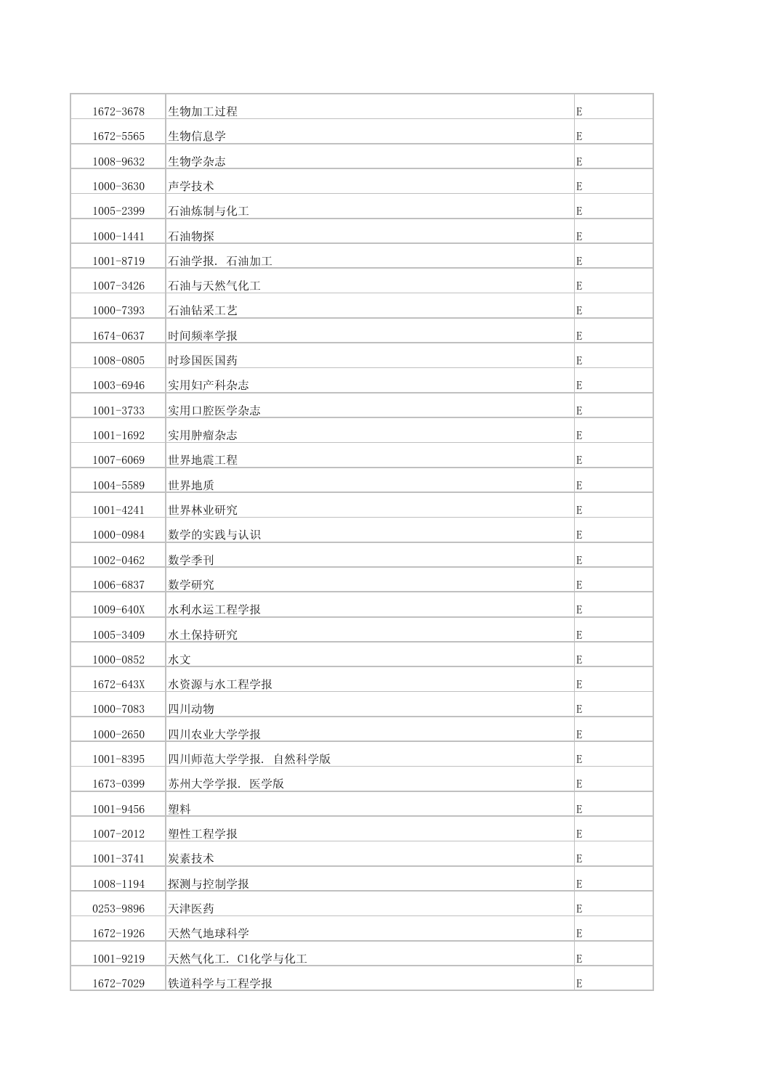| 1672-3678     | 生物加工过程          | E           |
|---------------|-----------------|-------------|
| 1672-5565     | 生物信息学           | E           |
| 1008-9632     | 生物学杂志           | E           |
| 1000-3630     | 声学技术            | E           |
| 1005-2399     | 石油炼制与化工         | E           |
| 1000-1441     | 石油物探            | E           |
| 1001-8719     | 石油学报. 石油加工      | E           |
| 1007-3426     | 石油与天然气化工        | E           |
| 1000-7393     | 石油钻采工艺          | E           |
| 1674-0637     | 时间频率学报          | E           |
| 1008-0805     | 时珍国医国药          | E           |
| 1003-6946     | 实用妇产科杂志         | E           |
| 1001-3733     | 实用口腔医学杂志        | E           |
| $1001 - 1692$ | 实用肿瘤杂志          | $\mathbf E$ |
| 1007-6069     | 世界地震工程          | E           |
| 1004-5589     | 世界地质            | E           |
| 1001-4241     | 世界林业研究          | E           |
| 1000-0984     | 数学的实践与认识        | E           |
| 1002-0462     | 数学季刊            | E           |
| 1006-6837     | 数学研究            | E           |
| 1009-640X     | 水利水运工程学报        | E           |
| 1005-3409     | 水土保持研究          | E           |
| 1000-0852     | 水文              | E           |
| 1672-643X     | 水资源与水工程学报       | E           |
| 1000-7083     | 四川动物            | E           |
| 1000-2650     | 四川农业大学学报        | E           |
| 1001-8395     | 四川师范大学学报. 自然科学版 | $\mathbf E$ |
| 1673-0399     | 苏州大学学报. 医学版     | E           |
| 1001-9456     | 塑料              | E           |
| 1007-2012     | 塑性工程学报          | E           |
| 1001-3741     | 炭素技术            | E           |
| 1008-1194     | 探测与控制学报         | E           |
| 0253-9896     | 天津医药            | $\mathbf E$ |
| 1672-1926     | 天然气地球科学         | E           |
| 1001-9219     | 天然气化工. C1化学与化工  | $\mathbf E$ |
| 1672-7029     | 铁道科学与工程学报       | $\mathbf E$ |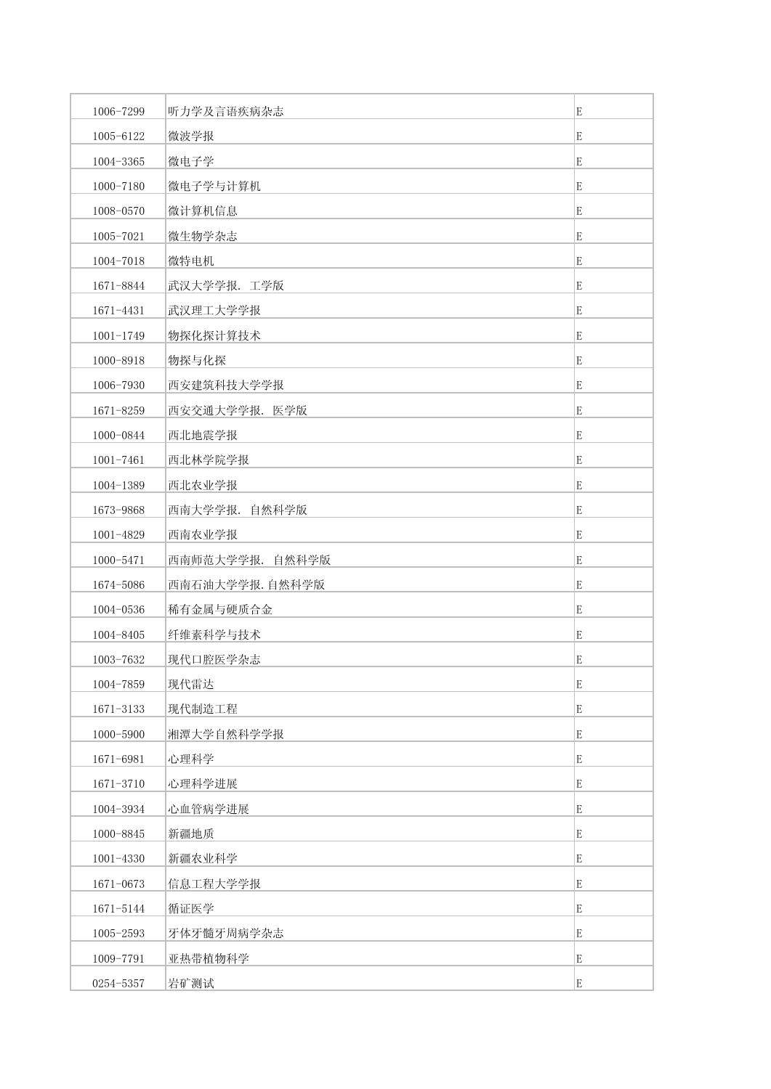| 1006-7299     | 听力学及言语疾病杂志      | E           |
|---------------|-----------------|-------------|
| 1005-6122     | 微波学报            | E           |
| 1004-3365     | 微电子学            | E           |
| 1000-7180     | 微电子学与计算机        | E           |
| 1008-0570     | 微计算机信息          | E           |
| 1005-7021     | 微生物学杂志          | E           |
| 1004-7018     | 微特电机            | E           |
| 1671-8844     | 武汉大学学报. 工学版     | E           |
| 1671-4431     | 武汉理工大学学报        | E           |
| $1001 - 1749$ | 物探化探计算技术        | E           |
| 1000-8918     | 物探与化探           | E           |
| 1006-7930     | 西安建筑科技大学学报      | E           |
| 1671-8259     | 西安交通大学学报. 医学版   | E           |
| 1000-0844     | 西北地震学报          | E           |
| $1001 - 7461$ | 西北林学院学报         | E           |
| 1004-1389     | 西北农业学报          | E           |
| 1673-9868     | 西南大学学报. 自然科学版   | E           |
| 1001-4829     | 西南农业学报          | E           |
| 1000-5471     | 西南师范大学学报. 自然科学版 | E           |
| 1674-5086     | 西南石油大学学报. 自然科学版 | E           |
| 1004-0536     | 稀有金属与硬质合金       | E           |
| 1004-8405     | 纤维素科学与技术        | E           |
| 1003-7632     | 现代口腔医学杂志        | E           |
| 1004-7859     | 现代雷达            | $\mathbf E$ |
| 1671-3133     | 现代制造工程          | E           |
| 1000-5900     | 湘潭大学自然科学学报      | E           |
| 1671-6981     | 心理科学            | E           |
| 1671-3710     | 心理科学进展          | E           |
| 1004-3934     | 心血管病学进展         | E           |
| 1000-8845     | 新疆地质            | E           |
| $1001 - 4330$ | 新疆农业科学          | E           |
| 1671-0673     | 信息工程大学学报        | E           |
| 1671-5144     | 循证医学            | E           |
| 1005-2593     | 牙体牙髓牙周病学杂志      | E           |
| 1009-7791     | 亚热带植物科学         | E           |
| 0254-5357     | 岩矿测试            | E           |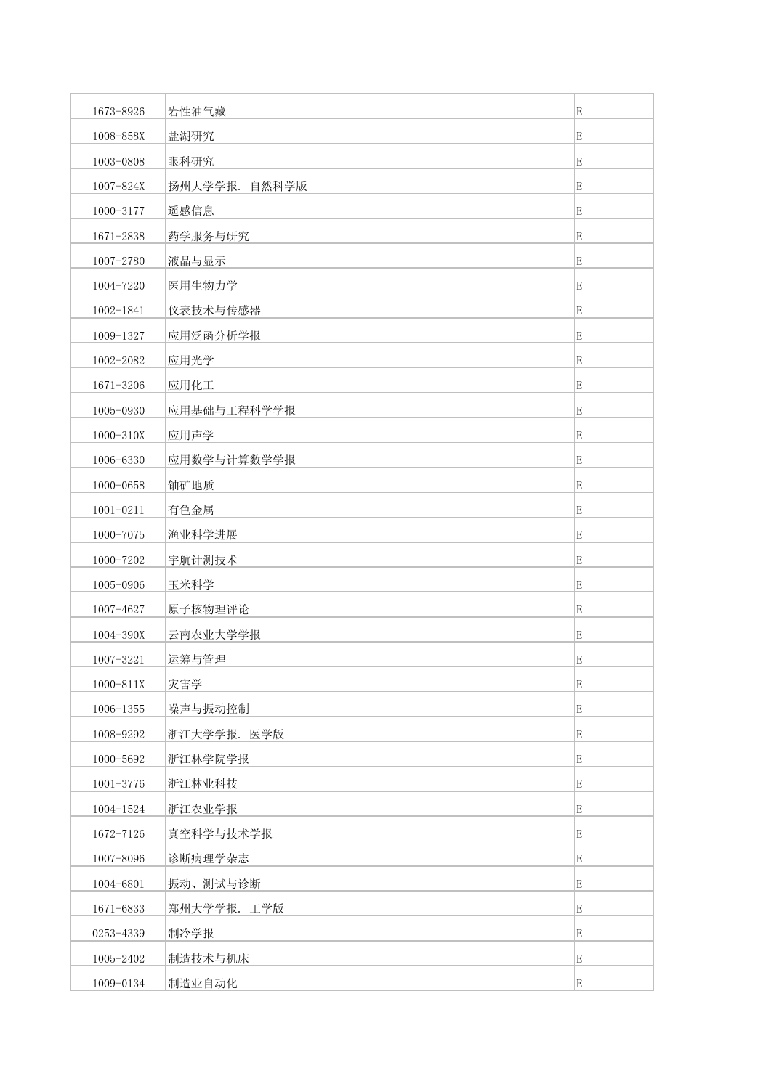| 1673-8926     | 岩性油气藏         | E |
|---------------|---------------|---|
| 1008-858X     | 盐湖研究          | E |
| 1003-0808     | 眼科研究          | E |
| 1007-824X     | 扬州大学学报. 自然科学版 | E |
| 1000-3177     | 遥感信息          | E |
| 1671-2838     | 药学服务与研究       | E |
| 1007-2780     | 液晶与显示         | E |
| 1004-7220     | 医用生物力学        | E |
| 1002-1841     | 仪表技术与传感器      | E |
| 1009-1327     | 应用泛函分析学报      | E |
| 1002-2082     | 应用光学          | E |
| 1671-3206     | 应用化工          | E |
| 1005-0930     | 应用基础与工程科学学报   | E |
| 1000-310X     | 应用声学          | E |
| 1006-6330     | 应用数学与计算数学学报   | E |
| 1000-0658     | 铀矿地质          | E |
| $1001 - 0211$ | 有色金属          | E |
| 1000-7075     | 渔业科学进展        | E |
| 1000-7202     | 宇航计测技术        | E |
| 1005-0906     | 玉米科学          | E |
| 1007-4627     | 原子核物理评论       | E |
| 1004-390X     | 云南农业大学学报      | E |
| 1007-3221     | 运筹与管理         | E |
| 1000-811X     | 灾害学           | E |
| $1006 - 1355$ | 噪声与振动控制       | E |
| 1008-9292     | 浙江大学学报. 医学版   | E |
| 1000-5692     | 浙江林学院学报       | E |
| 1001-3776     | 浙江林业科技        | E |
| 1004-1524     | 浙江农业学报        | E |
| 1672-7126     | 真空科学与技术学报     | E |
| 1007-8096     | 诊断病理学杂志       | E |
| 1004-6801     | 振动、测试与诊断      | E |
| 1671-6833     | 郑州大学学报. 工学版   | E |
| 0253-4339     | 制冷学报          | E |
| 1005-2402     | 制造技术与机床       | E |
| 1009-0134     | 制造业自动化        | E |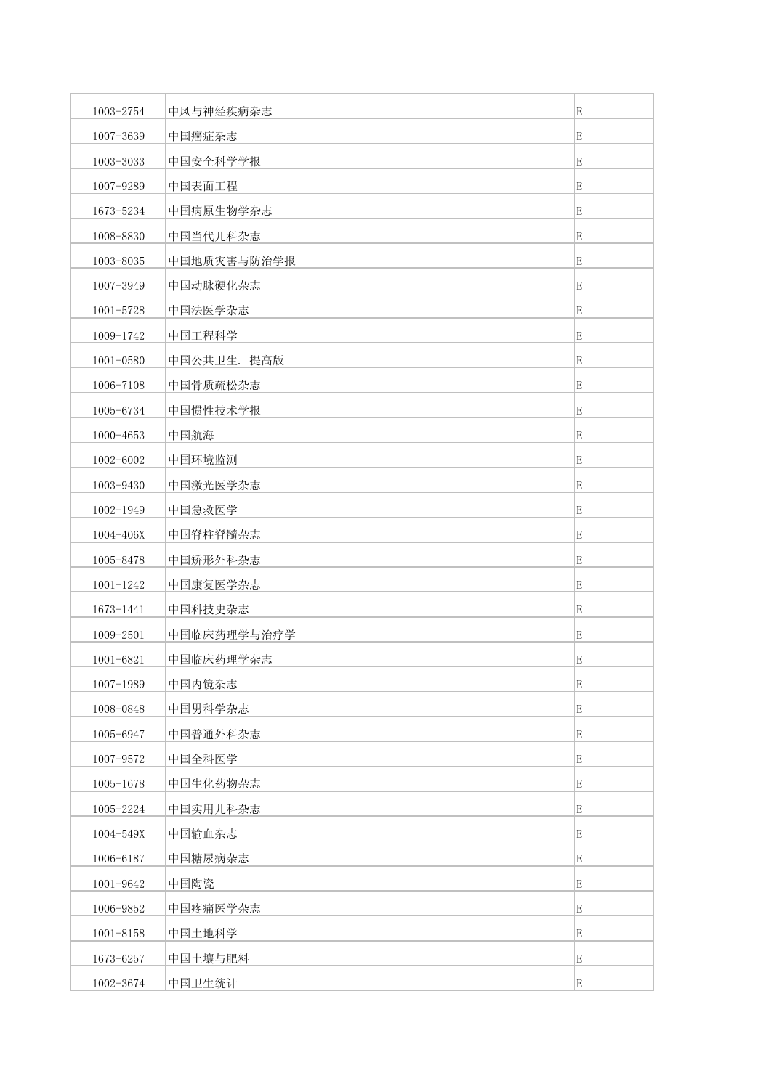| 1003-2754     | 中风与神经疾病杂志   | E           |
|---------------|-------------|-------------|
| 1007-3639     | 中国癌症杂志      | E           |
| 1003-3033     | 中国安全科学学报    | E           |
| 1007-9289     | 中国表面工程      | E           |
| 1673-5234     | 中国病原生物学杂志   | E           |
| 1008-8830     | 中国当代儿科杂志    | E           |
| 1003-8035     | 中国地质灾害与防治学报 | E           |
| 1007-3949     | 中国动脉硬化杂志    | E           |
| 1001-5728     | 中国法医学杂志     | E           |
| 1009-1742     | 中国工程科学      | E           |
| $1001 - 0580$ | 中国公共卫生. 提高版 | E           |
| 1006-7108     | 中国骨质疏松杂志    | E           |
| 1005-6734     | 中国惯性技术学报    | E           |
| 1000-4653     | 中国航海        | E           |
| 1002-6002     | 中国环境监测      | E           |
| 1003-9430     | 中国激光医学杂志    | E           |
| 1002-1949     | 中国急救医学      | E           |
| 1004-406X     | 中国脊柱脊髓杂志    | E           |
| 1005-8478     | 中国矫形外科杂志    | E           |
| $1001 - 1242$ | 中国康复医学杂志    | E           |
| 1673-1441     | 中国科技史杂志     | E           |
| 1009-2501     | 中国临床药理学与治疗学 | E           |
| 1001-6821     | 中国临床药理学杂志   | E           |
| 1007-1989     | 中国内镜杂志      | $\mathbf E$ |
| 1008-0848     | 中国男科学杂志     | E           |
| 1005-6947     | 中国普通外科杂志    | E           |
| 1007-9572     | 中国全科医学      | $\mathbf E$ |
| $1005 - 1678$ | 中国生化药物杂志    | E           |
| 1005-2224     | 中国实用儿科杂志    | E           |
| 1004-549X     | 中国输血杂志      | E           |
| 1006-6187     | 中国糖尿病杂志     | E           |
| 1001-9642     | 中国陶瓷        | E           |
| 1006-9852     | 中国疼痛医学杂志    | E           |
| $1001 - 8158$ | 中国土地科学      | E           |
| 1673-6257     | 中国土壤与肥料     | E           |
| 1002-3674     | 中国卫生统计      | $\mathbf E$ |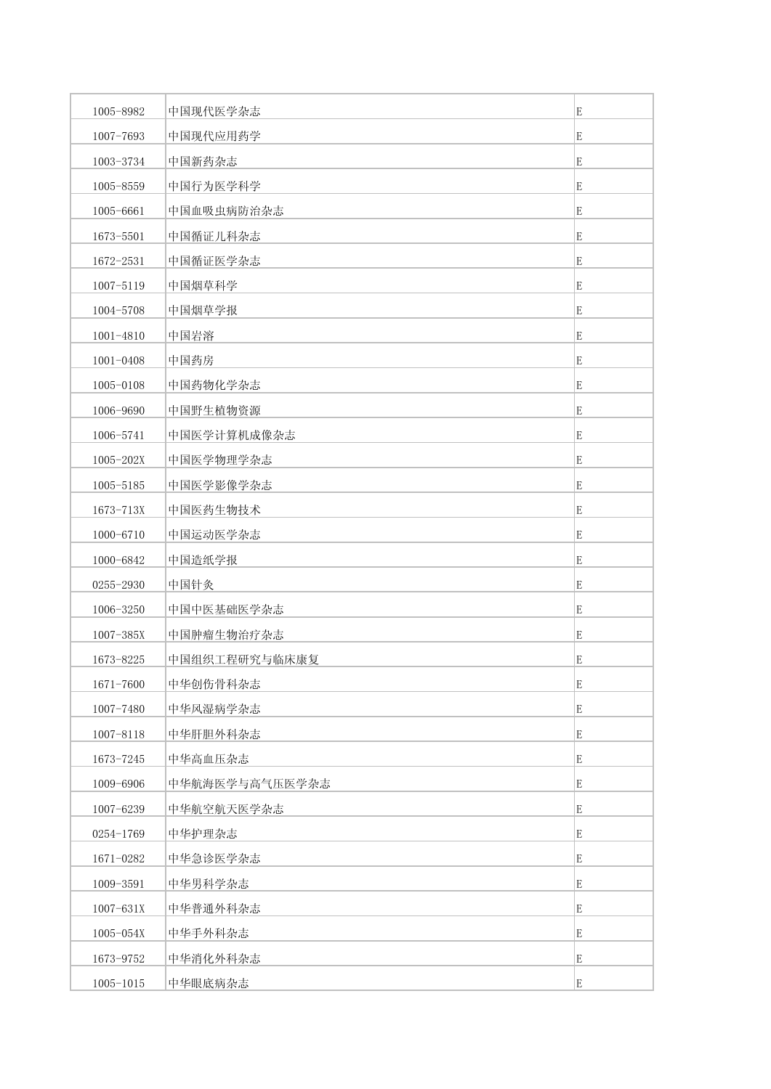| 1005-8982     | 中国现代医学杂志       | E           |
|---------------|----------------|-------------|
| 1007-7693     | 中国现代应用药学       | E           |
| 1003-3734     | 中国新药杂志         | E           |
| 1005-8559     | 中国行为医学科学       | E           |
| 1005-6661     | 中国血吸虫病防治杂志     | E           |
| 1673-5501     | 中国循证儿科杂志       | E           |
| 1672-2531     | 中国循证医学杂志       | E           |
| 1007-5119     | 中国烟草科学         | E           |
| 1004-5708     | 中国烟草学报         | E           |
| 1001-4810     | 中国岩溶           | E           |
| $1001 - 0408$ | 中国药房           | E           |
| 1005-0108     | 中国药物化学杂志       | E           |
| 1006-9690     | 中国野生植物资源       | E           |
| 1006-5741     | 中国医学计算机成像杂志    | E           |
| 1005-202X     | 中国医学物理学杂志      | E           |
| 1005-5185     | 中国医学影像学杂志      | E           |
| 1673-713X     | 中国医药生物技术       | E           |
| 1000-6710     | 中国运动医学杂志       | E           |
| 1000-6842     | 中国造纸学报         | E           |
| 0255-2930     | 中国针灸           | E           |
| 1006-3250     | 中国中医基础医学杂志     | E           |
| 1007-385X     | 中国肿瘤生物治疗杂志     | E           |
| 1673-8225     | 中国组织工程研究与临床康复  | E           |
| 1671-7600     | 中华创伤骨科杂志       | E           |
| 1007-7480     | 中华风湿病学杂志       | E           |
| 1007-8118     | 中华肝胆外科杂志       | E           |
| 1673-7245     | 中华高血压杂志        | E           |
| 1009-6906     | 中华航海医学与高气压医学杂志 | E           |
| 1007-6239     | 中华航空航天医学杂志     | E           |
| 0254-1769     | 中华护理杂志         | E           |
| 1671-0282     | 中华急诊医学杂志       | $\mathbf E$ |
| 1009-3591     | 中华男科学杂志        | E           |
| 1007-631X     | 中华普通外科杂志       | E           |
| 1005-054X     | 中华手外科杂志        | E           |
| 1673-9752     | 中华消化外科杂志       | E           |
| $1005 - 1015$ | 中华眼底病杂志        | E           |